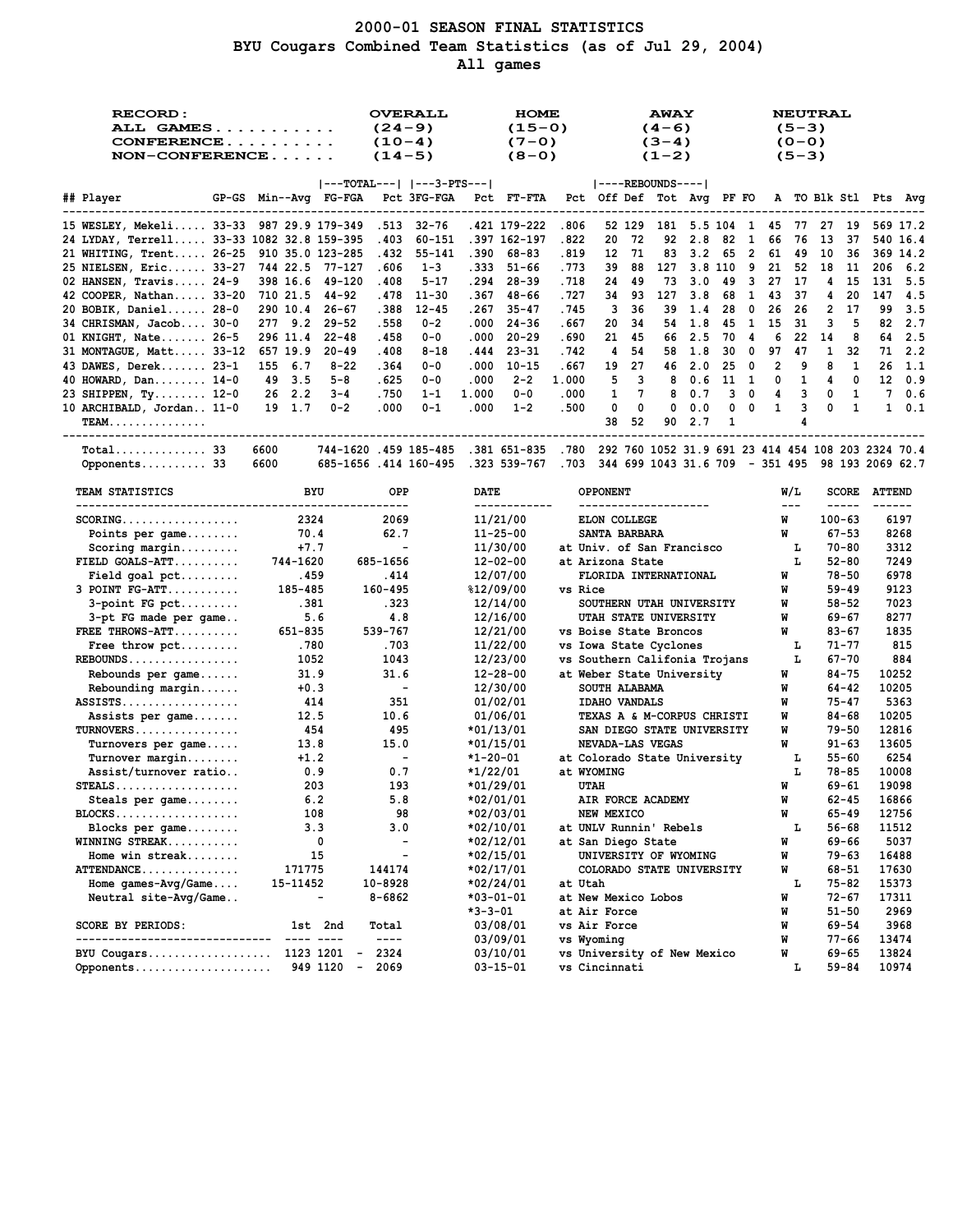# **2000-01 SEASON FINAL STATISTICS BYU Cougars Combined Team Statistics (as of Jul 29, 2004) All games**

| <b>RECORD:</b><br>ALL GAMES<br>CONFERENCE<br>$NON-CONFERENCE$ |                                   | <b>OVERALL</b><br>$(24-9)$<br>$(10-4)$<br>$(14-5)$                                                                                                                                                                                                                                                                                                                                           |                                 | <b>HOME</b><br>$(15-0)$<br>$(7-0)$<br>$(8-0)$ |                        |               |                                                  | <b>AWAY</b><br>$(4-6)$<br>$(3-4)$<br>$(1-2)$ |        |            |         |                         | <b>NEUTRAL</b><br>$(5-3)$<br>$(0 - 0)$<br>$(5-3)$ |              |              |                    |                                                  |               |
|---------------------------------------------------------------|-----------------------------------|----------------------------------------------------------------------------------------------------------------------------------------------------------------------------------------------------------------------------------------------------------------------------------------------------------------------------------------------------------------------------------------------|---------------------------------|-----------------------------------------------|------------------------|---------------|--------------------------------------------------|----------------------------------------------|--------|------------|---------|-------------------------|---------------------------------------------------|--------------|--------------|--------------------|--------------------------------------------------|---------------|
|                                                               |                                   | $ ---TOTAL--- $ $ ---3-PTS--- $                                                                                                                                                                                                                                                                                                                                                              |                                 |                                               |                        |               | $ ----REBOUNDS--- $                              |                                              |        |            |         |                         |                                                   |              |              |                    |                                                  |               |
| ## Player                                                     | GP-GS Min--Avg FG-FGA Pct 3FG-FGA | --------------------                                                                                                                                                                                                                                                                                                                                                                         |                                 |                                               | <b>Pct FT-FTA</b>      |               | Pct Off Def Tot Avq PF FO A TO Blk Stl Pts Avq   |                                              |        |            |         |                         |                                                   |              |              |                    |                                                  |               |
| 15 WESLEY, Mekeli 33-33 987 29.9 179-349                      |                                   |                                                                                                                                                                                                                                                                                                                                                                                              | .513 32-76                      |                                               | .421 179-222           | .806          |                                                  |                                              |        |            |         |                         |                                                   |              |              |                    | 52 129 181 5.5 104 1 45 77 27 19 569 17.2        |               |
| 24 LYDAY, Terrell 33-33 1082 32.8 159-395                     |                                   | .403                                                                                                                                                                                                                                                                                                                                                                                         | 60-151                          |                                               | .397 162-197           | .822          | 20                                               | -72                                          | 92     | 2.8        | 82      | -1                      | 66                                                | 76           | - 13         | 37                 |                                                  | 540 16.4      |
| 21 WHITING, Trent 26-25 910 35.0 123-285                      |                                   | .432                                                                                                                                                                                                                                                                                                                                                                                         | $55 - 141$                      |                                               | .390 68-83             | .819          | 12                                               | - 71                                         | 83     | 3.2        | 65      |                         | 2 61 49                                           |              | 10           | 36                 |                                                  | 369 14.2      |
| 25 NIELSEN, Eric 33-27 744 22.5 77-127                        |                                   | .606                                                                                                                                                                                                                                                                                                                                                                                         | $1 - 3$                         |                                               | .333 51-66             | .773          | 39                                               | 88                                           | 127    | 3.8 110    |         | - 9                     |                                                   | 21 52 18     |              | -11                | 206                                              | 6.2           |
| 02 HANSEN, Travis $24-9$                                      | 398 16.6 49-120                   | .408                                                                                                                                                                                                                                                                                                                                                                                         | $5 - 17$                        | .294                                          | $28 - 39$              | .718          | 24                                               | 49                                           | 73     | 3.0        | 49      | $\overline{\mathbf{3}}$ | 27 17                                             |              | 4            | 15                 | 131                                              | 5.5           |
| 42 COOPER, Nathan 33-20 710 21.5                              |                                   | 44-92                                                                                                                                                                                                                                                                                                                                                                                        | .478 11-30                      | . 367                                         | 48-66                  | .727          | 34                                               | 93                                           | 127    | 3.8        | 68      | 1                       | 43                                                | - 37         | 4            | 20                 | 147                                              | -4.5          |
| 20 BOBIK, Daniel 28-0                                         | 290 10.4 26-67                    | .388                                                                                                                                                                                                                                                                                                                                                                                         | $12 - 45$                       | .267                                          | $35 - 47$              | .745          | 3                                                | 36                                           | 39     | 1.4        | 28      | $\mathbf{0}$            | 26                                                | 26           | $\mathbf{2}$ | 17                 | 99                                               | 3.5           |
| 34 CHRISMAN, Jacob 30-0                                       | 277 9.2 29-52                     | .558                                                                                                                                                                                                                                                                                                                                                                                         | $0 - 2$                         | .000                                          | 24-36                  | .667          | 20                                               | -34                                          |        | 54 1.8     | 45      | $\mathbf{1}$            | 15                                                | 31           | 3            | 5                  | 82                                               | 2.7           |
| 01 KNIGHT, Nate $26-5$                                        | 296 11.4 22-48                    | .458                                                                                                                                                                                                                                                                                                                                                                                         | $0 - 0$                         | .000                                          | $20 - 29$              | .690          | 21                                               | 45                                           | 66     | 2.5        | 70      | 4                       | 6                                                 | 22           | 14           | 8                  |                                                  | 64 2.5        |
| 31 MONTAGUE, Matt 33-12 657 19.9 20-49                        |                                   | .408                                                                                                                                                                                                                                                                                                                                                                                         | $8 - 18$                        | .444                                          | 23-31                  | .742          | 4                                                | 54                                           | 58     | 1.8        | 30      | $\mathbf{0}$            | 97                                                | 47           | $\mathbf{1}$ | 32                 |                                                  | 71 2.2        |
| 43 DAWES, Derek 23-1                                          | 155 6.7                           | $8 - 22$<br>.364<br>.625                                                                                                                                                                                                                                                                                                                                                                     | $0 - 0$                         | .000                                          | $10 - 15$              | .667          | 19<br>5                                          | 27                                           |        | 46 2.0     | 25      | $\mathbf{0}$            | $\overline{2}$<br>0                               | 9<br>1       | 8<br>4       | 1<br>0             | 26<br>$12 \,$                                    | 1.1<br>0.9    |
| 40 HOWARD, Dan 14-0<br>23 SHIPPEN, Ty 12-0                    | 49 3.5<br>26 2.2                  | $5 - 8$<br>$3 - 4$<br>.750                                                                                                                                                                                                                                                                                                                                                                   | $0 - 0$<br>$1 - 1$              | .000<br>1.000                                 | $2 - 2$<br>$0 - 0$     | 1.000<br>.000 | 1                                                | з<br>7                                       | 8<br>8 | 0.6<br>0.7 | 11<br>3 | $\mathbf{1}$<br>0       | 4                                                 | 3            | 0            | 1                  |                                                  | 70.6          |
| 10 ARCHIBALD, Jordan 11-0                                     | 19 1.7                            | .000<br>$0 - 2$                                                                                                                                                                                                                                                                                                                                                                              | $0 - 1$                         | .000                                          | $1 - 2$                | .500          | 0                                                | 0                                            | 0      | 0.0        | 0       | 0                       | $\mathbf{1}$                                      | 3            | 0            | 1                  |                                                  | $1 \t 0.1$    |
| <b>TEAM</b>                                                   |                                   |                                                                                                                                                                                                                                                                                                                                                                                              |                                 |                                               |                        |               | 38                                               | 52                                           | 90     | 2.7        | 1       |                         |                                                   | 4            |              |                    |                                                  |               |
| Total 33                                                      | 6600                              | 744-1620 .459 185-485 .381 651-835 .780 292 760 1052 31.9 691 23 414 454 108 203 2324 70.4                                                                                                                                                                                                                                                                                                   |                                 |                                               |                        |               |                                                  |                                              |        |            |         |                         |                                                   |              |              |                    |                                                  |               |
| Opponents 33                                                  | 6600                              | 685-1656.414 160-495                                                                                                                                                                                                                                                                                                                                                                         |                                 |                                               | .323 539-767 .703      |               |                                                  |                                              |        |            |         |                         |                                                   |              |              |                    | 344 699 1043 31.6 709 - 351 495 98 193 2069 62.7 |               |
|                                                               |                                   |                                                                                                                                                                                                                                                                                                                                                                                              |                                 |                                               |                        |               |                                                  |                                              |        |            |         |                         |                                                   |              |              |                    |                                                  |               |
| TEAM STATISTICS<br>---------------------------------          | BYU                               | ----                                                                                                                                                                                                                                                                                                                                                                                         | OPP                             | DATE                                          | ------------           |               | OPPONENT<br>--------------------                 |                                              |        |            |         |                         |                                                   | W/L<br>$---$ |              | -----              | <b>SCORE ATTEND</b><br>------                    |               |
| $SCORING$                                                     | 2324                              | 2069                                                                                                                                                                                                                                                                                                                                                                                         |                                 |                                               | 11/21/00               |               | <b>ELON COLLEGE</b>                              |                                              |        |            |         |                         | W                                                 |              |              | $100 - 63$         |                                                  | 6197          |
| Points per game                                               | 70.4                              | 62.7                                                                                                                                                                                                                                                                                                                                                                                         |                                 |                                               | $11 - 25 - 00$         |               | SANTA BARBARA                                    |                                              |        |            |         |                         | W                                                 |              |              | $67 - 53$          |                                                  | 8268          |
| $Scoring margin$                                              | $+7.7$                            |                                                                                                                                                                                                                                                                                                                                                                                              | $\sim$                          |                                               | 11/30/00               |               | at Univ. of San Francisco                        |                                              |        |            |         |                         |                                                   | т.           |              | $70 - 80$          |                                                  | 3312          |
| $FIELD GOALS-ATT$                                             | 744-1620                          | 685-1656                                                                                                                                                                                                                                                                                                                                                                                     |                                 |                                               | $12 - 02 - 00$         |               | at Arizona State                                 |                                              |        |            |         |                         |                                                   | L.           |              | $52 - 80$          |                                                  | 7249          |
| Field goal $pet$                                              | .459                              | .414                                                                                                                                                                                                                                                                                                                                                                                         |                                 |                                               | 12/07/00               |               | FLORIDA INTERNATIONAL                            |                                              |        |            |         |                         | W                                                 |              |              | $78 - 50$          |                                                  | 6978          |
| $3$ POINT $FG-ATT$                                            | 185-485                           | 160-495                                                                                                                                                                                                                                                                                                                                                                                      |                                 |                                               | %12/09/00              | vs Rice       |                                                  |                                              |        |            |         |                         | W                                                 |              |              | $59 - 49$          |                                                  | 9123          |
| $3$ -point FG pct                                             | .381                              | . 323                                                                                                                                                                                                                                                                                                                                                                                        |                                 |                                               | 12/14/00               |               | SOUTHERN UTAH UNIVERSITY                         |                                              |        |            |         |                         | W                                                 |              |              | $58 - 52$          |                                                  | 7023          |
| 3-pt FG made per game                                         | 5.6                               |                                                                                                                                                                                                                                                                                                                                                                                              | 4.8                             |                                               | 12/16/00               |               | UTAH STATE UNIVERSITY                            |                                              |        |            |         |                         | W<br>W                                            |              |              | 69-67              |                                                  | 8277          |
| FREE THROWS-ATT<br>Free throw $\not\vdots$                    | 651-835<br>.780                   | 539-767<br>.703                                                                                                                                                                                                                                                                                                                                                                              |                                 |                                               | 12/21/00<br>11/22/00   |               | vs Boise State Broncos<br>vs Iowa State Cyclones |                                              |        |            |         |                         |                                                   | т.           |              | 83-67<br>$71 - 77$ |                                                  | 1835<br>815   |
| $REBOUNDS$                                                    | 1052                              | 1043                                                                                                                                                                                                                                                                                                                                                                                         |                                 |                                               | 12/23/00               |               | vs Southern Califonia Trojans                    |                                              |        |            |         |                         |                                                   | L            |              | $67 - 70$          |                                                  | 884           |
| Rebounds per game                                             | 31.9                              | 31.6                                                                                                                                                                                                                                                                                                                                                                                         |                                 |                                               | $12 - 28 - 00$         |               | at Weber State University                        |                                              |        |            |         |                         | W                                                 |              |              | $84 - 75$          | 10252                                            |               |
| Rebounding margin                                             | $+0.3$                            |                                                                                                                                                                                                                                                                                                                                                                                              | $\overline{\phantom{a}}$        |                                               | 12/30/00               |               | SOUTH ALABAMA                                    |                                              |        |            |         |                         | W                                                 |              |              | 64-42              | 10205                                            |               |
| $ASSISTS$                                                     | 414                               |                                                                                                                                                                                                                                                                                                                                                                                              | 351                             |                                               | 01/02/01               |               | <b>IDAHO VANDALS</b>                             |                                              |        |            |         |                         | W                                                 |              |              | $75 - 47$          |                                                  | 5363          |
| Assists per game                                              | 12.5                              | 10.6                                                                                                                                                                                                                                                                                                                                                                                         |                                 |                                               | 01/06/01               |               | TEXAS A & M-CORPUS CHRISTI                       |                                              |        |            |         |                         | W                                                 |              |              | $84 - 68$          | 10205                                            |               |
| $TURNOVERS$                                                   | 454                               |                                                                                                                                                                                                                                                                                                                                                                                              | 495                             |                                               | *01/13/01              |               | SAN DIEGO STATE UNIVERSITY                       |                                              |        |            |         |                         | W                                                 |              |              | $79 - 50$          | 12816                                            |               |
| Turnovers per game                                            | 13.8                              | 15.0                                                                                                                                                                                                                                                                                                                                                                                         |                                 |                                               | $*01/15/01$            |               | NEVADA-LAS VEGAS                                 |                                              |        |            |         |                         | W                                                 |              |              | 91-63              | 13605                                            |               |
| $Turnover$ margin                                             | $+1.2$                            |                                                                                                                                                                                                                                                                                                                                                                                              | $\sim$                          | *1-20-01                                      |                        |               | at Colorado State University                     |                                              |        |            |         |                         |                                                   | L            |              | $55 - 60$          |                                                  | 6254          |
| Assist/turnover ratio                                         | 0.9                               |                                                                                                                                                                                                                                                                                                                                                                                              | 0.7                             | *1/22/01                                      |                        |               | at WYOMING                                       |                                              |        |            |         |                         |                                                   | L            |              | 78-85              | 10008                                            |               |
| $STEALS$                                                      | 203                               |                                                                                                                                                                                                                                                                                                                                                                                              | 193                             |                                               | *01/29/01              |               | <b>UTAH</b>                                      |                                              |        |            |         |                         | W                                                 |              |              | $69 - 61$          | 19098                                            |               |
| Steals per game                                               | 6.2                               |                                                                                                                                                                                                                                                                                                                                                                                              | 5.8                             |                                               | *02/01/01              |               | AIR FORCE ACADEMY                                |                                              |        |            |         |                         | M                                                 |              |              | $62 - 45$          | 16866                                            |               |
| $BLOCKS$                                                      | 108                               |                                                                                                                                                                                                                                                                                                                                                                                              | 98                              |                                               | *02/03/01              |               | NEW MEXICO                                       |                                              |        |            |         |                         | W                                                 |              |              | $65 - 49$          | 12756                                            |               |
| Blocks per game<br>WINNING STREAK                             | 3.3<br>0                          |                                                                                                                                                                                                                                                                                                                                                                                              | 3.0<br>$\overline{\phantom{a}}$ |                                               | *02/10/01<br>*02/12/01 |               | at UNLV Runnin' Rebels<br>at San Diego State     |                                              |        |            |         |                         | W                                                 | Ъ            |              | 56-68<br>69-66     |                                                  | 11512<br>5037 |
| Home win streak                                               | 15                                |                                                                                                                                                                                                                                                                                                                                                                                              | $\overline{\phantom{a}}$        |                                               | *02/15/01              |               | UNIVERSITY OF WYOMING                            |                                              |        |            |         |                         | W                                                 |              |              | 79-63              | 16488                                            |               |
| ATTENDANCE                                                    | 171775                            | 144174                                                                                                                                                                                                                                                                                                                                                                                       |                                 |                                               | *02/17/01              |               | COLORADO STATE UNIVERSITY                        |                                              |        |            |         |                         | W                                                 |              |              | $68 - 51$          |                                                  | 17630         |
| Home games- $Avg/Game$ .                                      | 15-11452                          | 10-8928                                                                                                                                                                                                                                                                                                                                                                                      |                                 |                                               | *02/24/01              | at Utah       |                                                  |                                              |        |            |         |                         |                                                   | г            |              | 75-82              | 15373                                            |               |
| Neutral site-Avg/Game                                         | $\qquad \qquad \blacksquare$      | 8-6862                                                                                                                                                                                                                                                                                                                                                                                       |                                 |                                               | *03-01-01              |               | at New Mexico Lobos                              |                                              |        |            |         |                         | W                                                 |              |              | 72-67              |                                                  | 17311         |
|                                                               |                                   |                                                                                                                                                                                                                                                                                                                                                                                              |                                 | *3-3-01                                       |                        |               | at Air Force                                     |                                              |        |            |         |                         | W                                                 |              |              | $51 - 50$          |                                                  | 2969          |
| SCORE BY PERIODS:                                             | 1st 2nd                           | Total                                                                                                                                                                                                                                                                                                                                                                                        |                                 |                                               | 03/08/01               |               | vs Air Force                                     |                                              |        |            |         |                         | W                                                 |              |              | 69-54              |                                                  | 3968          |
| ----------------                                              | $- -$<br>- ----                   | $\frac{1}{2} \frac{1}{2} \frac{1}{2} \frac{1}{2} \frac{1}{2} \frac{1}{2} \frac{1}{2} \frac{1}{2} \frac{1}{2} \frac{1}{2} \frac{1}{2} \frac{1}{2} \frac{1}{2} \frac{1}{2} \frac{1}{2} \frac{1}{2} \frac{1}{2} \frac{1}{2} \frac{1}{2} \frac{1}{2} \frac{1}{2} \frac{1}{2} \frac{1}{2} \frac{1}{2} \frac{1}{2} \frac{1}{2} \frac{1}{2} \frac{1}{2} \frac{1}{2} \frac{1}{2} \frac{1}{2} \frac{$ |                                 |                                               | 03/09/01               |               | vs Wyoming                                       |                                              |        |            |         |                         | W                                                 |              |              | 77-66              |                                                  | 13474         |
| BYU Cougars                                                   | 1123 1201                         | 2324                                                                                                                                                                                                                                                                                                                                                                                         |                                 |                                               | 03/10/01               |               | vs University of New Mexico                      |                                              |        |            |         |                         | W                                                 |              |              | 69-65              |                                                  | 13824         |
| Opponents                                                     | 949 1120                          | 2069<br>$\overline{\phantom{a}}$                                                                                                                                                                                                                                                                                                                                                             |                                 |                                               | 03-15-01               |               | vs Cincinnati                                    |                                              |        |            |         |                         |                                                   | г            |              | 59-84              |                                                  | 10974         |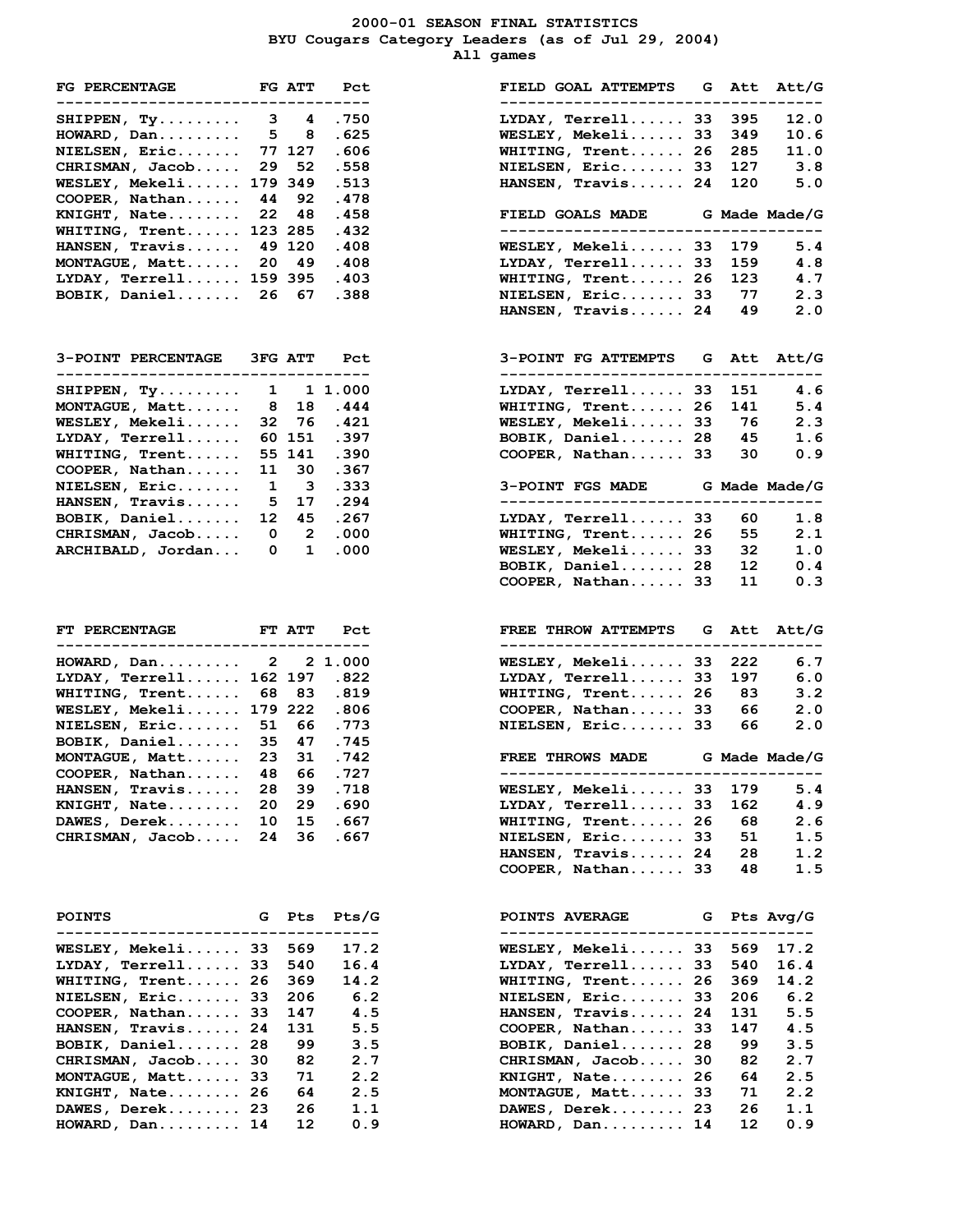#### **2000-01 SEASON FINAL STATISTICS BYU Cougars Category Leaders (as of Jul 29, 2004) All games**

| FG PERCENTAGE FG ATT<br>--------------------------                |              |              | Pct<br>----    | FIELD GOAL ATTEMPTS G Att Att/G<br>--------------                      |    |            |            |
|-------------------------------------------------------------------|--------------|--------------|----------------|------------------------------------------------------------------------|----|------------|------------|
| SHIPPEN, $Ty$ 3 4                                                 |              |              | .750           | $LYDAY$ , Terrell 33                                                   |    | 395        | 12.0       |
| $HOWARD$ , $Dan \ldots \ldots \ldots 5$                           |              | 8            | .625           | WESLEY, Mekeli33                                                       |    | 349        | 10.6       |
| NIELSEN, Eric                                                     |              | 77 127       | .606           | WHITING, Trent 26                                                      |    | 285        | 11.0       |
| CHRISMAN, Jacob                                                   | 29           | 52           | .558           | NIELSEN, Eric 33                                                       |    | 127        | 3.8        |
| WESLEY, Mekeli 179 349                                            |              |              | .513           | HANSEN, Travis 24                                                      |    | 120        | 5.0        |
|                                                                   | 44           | 92           | .478           |                                                                        |    |            |            |
| $COOPER$ , Nathan                                                 |              |              |                |                                                                        |    |            |            |
| $KNIGHT, Nate 22 48$                                              |              |              | .458           | FIELD GOALS MADE G Made Made/G<br>------------------------------------ |    |            |            |
| WHITING, Trent 123 285                                            |              |              | .432           |                                                                        |    |            |            |
| HANSEN, Travis 49 120                                             |              |              | .408           | WESLEY, Mekeli 33                                                      |    | 179        | 5.4        |
| MONTAGUE, Matt $20$ 49                                            |              |              | .408           | $LYDAY$ , $Terrell$ 33                                                 |    | 159        | 4.8        |
| LYDAY, Terrell 159 395                                            |              |              | .403           | WHITING, Trent 26                                                      |    | 123        | 4.7        |
| BOBIK, Daniel 26 67                                               |              |              | .388           | NIELSEN, Eric 33                                                       |    | 77         | 2.3        |
|                                                                   |              |              |                | HANSEN, Travis 24                                                      |    | 49         | 2.0        |
| 3-POINT PERCENTAGE 3FG ATT<br>----------------------------------- |              |              | Pct            | 3-POINT FG ATTEMPTS G<br>------------------------------------          |    |            | Att Att/G  |
|                                                                   |              |              |                | LYDAY, Terrell 33                                                      |    |            |            |
| SHIPPEN, Ty 1 1 1.000<br>MONTAGUE, Matt                           | 8            |              | 18.444         | WHITING, Trent 26                                                      |    | 151<br>141 | 4.6<br>5.4 |
|                                                                   |              |              |                |                                                                        |    |            |            |
| $WESLEY$ , $Mekeli$                                               | 32           |              | 76.421         | WESLEY, Mekeli33                                                       |    | 76         | 2.3        |
| $LYDAY$ , $Terrell$                                               |              | 60 151       | .397           | BOBIK, Daniel 28 45                                                    |    |            | 1.6        |
| WHITING, Trent                                                    |              | 55 141       | .390           | COOPER, Nathan 33                                                      |    | 30         | 0.9        |
| COOPER, Nathan                                                    | 11           | 30           | .367           |                                                                        |    |            |            |
| $NIELSEN$ , $Eric$                                                | $\mathbf{1}$ | $\mathbf{3}$ | .333           | 3-POINT FGS MADE G Made Made/G                                         |    |            |            |
| HANSEN, Travis                                                    |              | 5 17         | .294           | ------------------------------                                         |    |            |            |
| BOBIK, Daniel                                                     |              | 12 45        | .267           | LYDAY, Terrell 33                                                      |    | 60         | 1.8        |
| CHRISMAN, Jacob                                                   |              | $0\qquad 2$  | .000           | WHITING, Trent 26                                                      |    | 55         | 2.1        |
| ARCHIBALD, Jordan                                                 |              | $0\quad 1$   | .000           | WESLEY, Mekeli 33                                                      |    | 32         | 1.0        |
|                                                                   |              |              |                | BOBIK, Daniel 28                                                       |    | 12         | 0.4        |
|                                                                   |              |              |                | COOPER, Nathan 33                                                      |    | 11         | 0.3        |
| FT PERCENTAGE FT ATT<br>--------------------------                |              |              | Pct<br>------- | FREE THROW ATTEMPTS G Att Att/G<br>--------------------                |    |            |            |
| HOWARD, Dan 2 2 1.000                                             |              |              |                | WESLEY, Mekeli 33                                                      |    | 222        | 6.7        |
| LYDAY, Terrell 162 197                                            |              |              | .822           | LYDAY, Terrell 33                                                      |    | 197        | 6.0        |
| WHITING, Trent 68                                                 |              | 83           | .819           | WHITING, Trent 26                                                      |    | - 83       | 3.2        |
| WESLEY, Mekeli 179 222                                            |              |              | .806           | $COOPER$ , Nathan 33 66                                                |    |            | 2.0        |
| NIELSEN, Eric 51 66 .773                                          |              |              |                | NIELSEN, Eric 33                                                       |    | 66         | 2.0        |
| BOBIK, Daniel 35 47 .745                                          |              |              |                |                                                                        |    |            |            |
| MONTAGUE, Matt                                                    | 23           | 31           | .742           | FREE THROWS MADE G Made Made/G                                         |    |            |            |
| COOPER, Nathan 48 66 .727                                         |              |              |                |                                                                        |    |            |            |
| HANSEN, Travis                                                    | 28           | 39.          | .718           | $WESLEY$ , Mekeli 33                                                   |    | 179        | 5.4        |
| KNIGHT, Nate                                                      | 20           | 29           | .690           | $LYDAY$ , $Terrell$                                                    |    | 162        | 4.9        |
| DAWES, Derek                                                      | 10           | 15           | .667           | WHITING, Trent 26                                                      | 33 | 68         |            |
|                                                                   |              |              |                |                                                                        |    |            | 2.6        |
| CHRISMAN, Jacob                                                   | 24           | 36           | . 667          | NIELSEN, Eric                                                          | 33 | 51         | 1.5        |
|                                                                   |              |              |                | HANSEN, Travis 24                                                      |    | 28         | 1.2        |
|                                                                   |              |              |                | COOPER, Nathan 33                                                      |    | 48         | 1.5        |
| <b>POINTS</b>                                                     | G            | Pts          | $P$ ts/G       | POINTS AVERAGE                                                         | G  |            | Pts Avg/G  |
| $WESLEY$ , Mekeli 33                                              |              | 569          | 17.2           | <b>WESLEY, Mekeli</b>                                                  | 33 | 569        | 17.2       |
| LYDAY, Terrell 33                                                 |              | 540          | 16.4           | $LYDAY$ , $Terrell$                                                    | 33 | 540        | 16.4       |
| WHITING, Trent 26                                                 |              | 369          | 14.2           | WHITING, Trent                                                         | 26 | 369        | 14.2       |
| NIELSEN, Eric 33                                                  |              | 206          | 6.2            | NIELSEN, Eric                                                          | 33 | 206        | 6.2        |
| COOPER, Nathan 33                                                 |              | 147          | 4.5            | HANSEN, Travis                                                         | 24 | 131        | 5.5        |
| HANSEN, Travis 24                                                 |              | 131          | 5.5            | $COOPER$ , Nathan                                                      | 33 | 147        | 4.5        |
| BOBIK, Daniel 28                                                  |              | 99           | 3.5            | BOBIK, Daniel                                                          | 28 | 99         | 3.5        |
| CHRISMAN, Jacob                                                   | 30           | 82           | 2.7            | CHRISMAN, Jacob                                                        | 30 | 82         | 2.7        |
|                                                                   |              | 71           |                |                                                                        |    | 64         |            |
| MONTAGUE, Matt 33<br>KNIGHT, Nate 26                              |              |              | 2.2            | $KNIGHT$ , $Nate$ 26                                                   |    |            | 2.5        |
| DAWES, Derek 23                                                   |              | 64<br>26     | 2.5<br>1.1     | MONTAGUE, Matt 33<br>DAWES, Derek 23                                   |    | 71<br>26   | 2.2        |
|                                                                   |              |              |                |                                                                        |    |            | 1.1        |

| <b>FG PERCENTAGE</b>                                        |              | FG ATT                       | Pct        | FIELD GOAL ATTEMPTS<br>Att<br>G                                         | Att/G |
|-------------------------------------------------------------|--------------|------------------------------|------------|-------------------------------------------------------------------------|-------|
| -----------------------------------                         |              |                              |            | ---------------                                                         |       |
| SHIPPEN, Ty                                                 |              | $3 \quad 4$                  | .750       | $LYDAY$ , $Terrell$ 33<br>395                                           | 12.0  |
| HOWARD, Dan                                                 | 5            | 8                            | . 625      | WESLEY, Mekeli 33<br>349                                                | 10.6  |
| NIELSEN, Eric                                               |              | 77 127                       | .606       | WHITING, Trent 26<br>285                                                | 11.0  |
| CHRISMAN, Jacob                                             |              | 29 52                        | .558       | NIELSEN, Eric 33<br>127                                                 | 3.8   |
| <b>WESLEY, Mekeli 179 349</b>                               |              |                              | .513       | HANSEN, Travis 24<br>120                                                | 5.0   |
| COOPER, Nathan 44                                           |              | 92                           | .478       |                                                                         |       |
| $KNIGHT$ , $Nate$ 22 48                                     |              |                              | .458       | FIELD GOALS MADE G Made Made/G                                          |       |
| WHITING, Trent 123 285                                      |              |                              | .432       | -------------------------                                               |       |
| HANSEN, Travis                                              |              | 49 120                       | .408       | <b>WESLEY, Mekeli 33</b><br>179                                         | 5.4   |
| MONTAGUE, Matt 20 49                                        |              |                              | .408       | $LYDAY$ , Terrell 33<br>159                                             | 4.8   |
| LYDAY, Terrell 159 395                                      |              |                              | .403       | WHITING, Trent 26<br>123                                                | 4.7   |
| BOBIK, Daniel 26 67                                         |              |                              | .388       | NIELSEN, Eric 33<br>77                                                  | 2.3   |
|                                                             |              |                              |            | HANSEN, Travis 24<br>49                                                 | 2.0   |
| 3-POINT PERCENTAGE 3FG ATT                                  |              |                              | Pct        | 3-POINT FG ATTEMPTS G Att Att/G                                         |       |
| -----------------------------                               |              |                              |            | --------------------------                                              |       |
| SHIPPEN, Ty                                                 |              |                              | 1 11.000   | $LYDAY$ , $Terrell$ 33<br>151                                           | 4.6   |
| MONTAGUE, Matt                                              |              | 8 18                         | .444       | WHITING, Trent 26<br>141                                                | 5.4   |
| <b>WESLEY, Mekeli</b>                                       |              |                              | 32 76 .421 | WESLEY, Mekeli 33<br>76                                                 | 2.3   |
| LYDAY, Terrell                                              |              | 60 151                       | .397       | BOBIK, Daniel 28<br>45                                                  | 1.6   |
| <b>WHITING, Trent</b>                                       |              | 55 141                       | .390       | COOPER, Nathan 33<br>30                                                 | 0.9   |
| COOPER, Nathan                                              |              | 11 30                        | .367       |                                                                         |       |
| NIELSEN, Eric                                               | $\mathbf{1}$ | $\overline{\mathbf{3}}$      | .333       | 3-POINT FGS MADE G Made Made/G                                          |       |
| <b>HANSEN, Travis</b>                                       |              |                              | 5 17 .294  | _____________________________________                                   |       |
| BOBIK, Daniel                                               | 12           |                              | 45.267     | $LYDAY$ , $Terrell$ 33<br>60                                            | 1.8   |
| CHRISMAN, Jacob                                             |              | $\mathbf{0}$                 | 2.000      | WHITING, Trent<br>55<br>26                                              | 2.1   |
| ARCHIBALD, Jordan                                           |              | $\mathbf{0}$<br>$\mathbf{1}$ | .000       | WESLEY, Mekeli 33<br>32                                                 | 1.0   |
|                                                             |              |                              |            | BOBIK, Daniel 28<br>12                                                  | 0.4   |
|                                                             |              |                              |            | 11                                                                      |       |
|                                                             |              |                              |            | COOPER, Nathan 33                                                       | 0.3   |
|                                                             |              |                              |            |                                                                         |       |
| <b>FT PERCENTAGE</b><br>----------------------------------- |              | FT ATT                       | Pct        | FREE THROW ATTEMPTS G Att Att/G<br>------------------------------------ |       |
|                                                             |              |                              |            |                                                                         |       |
| HOWARD, Dan 2 21.000                                        |              |                              |            | WESLEY, Mekeli 33<br>222                                                | 6.7   |
| LYDAY, Terrell 162 197 .822                                 |              |                              |            | $LYDAY$ , Terrell 33<br>197                                             | 6.0   |
| <b>WHITING, Trent</b>                                       |              | 68 83                        | .819       | WHITING, Trent 26<br>83                                                 | 3.2   |
| <b>WESLEY, Mekeli 179 222</b>                               |              |                              | .806       | COOPER, Nathan 33<br>66                                                 | 2.0   |
| NIELSEN, Eric                                               |              |                              | 51 66 .773 | 66<br>NIELSEN, Eric 33                                                  | 2.0   |
| BOBIK, Daniel                                               |              |                              | 35 47 .745 |                                                                         |       |
| MONTAGUE, Matt                                              |              | 23 31                        | .742       | FREE THROWS MADE G Made Made/G                                          |       |
| $\texttt{COOPER}$ , $\texttt{Mathan} \dots \dots$           | 48           | 66                           | .727       | ------------------------------------                                    |       |
| HANSEN, Travis                                              | 28           | 39                           | .718       | WESLEY, Mekeli<br>33<br>179                                             | 5.4   |
| <b>KNIGHT, Nate</b>                                         | 20           | 29                           | .690       | $LYDAY$ , $Terrell$<br>162<br>33                                        | 4.9   |
| DAWES, Derek                                                | 10           | 15                           | . 667      | WHITING, Trent<br>26<br>68                                              | 2.6   |
| CHRISMAN, Jacob                                             | 24           | 36                           | . 667      | NIELSEN, Eric<br>33<br>51                                               | 1.5   |
|                                                             |              |                              |            | HANSEN, Travis 24<br>28                                                 | 1.2   |
|                                                             |              |                              |            | COOPER, Nathan<br>48<br>33                                              | 1.5   |
|                                                             |              |                              |            |                                                                         |       |
| <b>POINTS</b>                                               | G            | Pts                          | Pts/G      | <b>POINTS AVERAGE</b><br>Pts Avg/G<br>G                                 |       |
| <b>WESLEY, Mekeli 33</b>                                    |              | 569                          | 17.2       | WESLEY, Mekeli33<br>569                                                 | 17.2  |
| LYDAY, Terrell 33                                           |              | 540                          | 16.4       | $LYDAY$ , $Terrell$<br>33<br>540                                        | 16.4  |
| WHITING, Trent 26                                           |              | 369                          | 14.2       | WHITING, Trent<br>369<br>26                                             | 14.2  |
| NIELSEN, Eric                                               | 33           | 206                          | 6.2        | NIELSEN, Eric<br>33<br>206                                              | 6.2   |
|                                                             |              | 147                          |            | 24<br>131                                                               |       |
| COOPER, Nathan 33                                           |              |                              | 4.5        | HANSEN, Travis                                                          | 5.5   |
| <b>HANSEN, Travis 24</b>                                    |              | 131                          | 5.5        | COOPER, Nathan<br>147<br>33                                             | 4.5   |
| BOBIK, Daniel 28                                            |              | 99                           | 3.5        | BOBIK, Daniel<br>28<br>99                                               | 3.5   |
| CHRISMAN, Jacob                                             | 30           | 82                           | 2.7        | CHRISMAN, Jacob<br>30<br>82                                             | 2.7   |
| MONTAGUE, Matt 33                                           |              | 71                           | 2.2        | $KNIGHT, Nate \ldots$<br>26<br>64                                       | 2.5   |
| KNIGHT, Nate 26                                             |              | 64                           | 2.5        | MONTAGUE, Matt<br>71<br>33                                              | 2.2   |
| DAWES, Derek 23                                             |              | 26                           | 1.1        | $DAWES, Derek$<br>26<br>23                                              | 1.1   |
| HOWARD, Dan 14                                              |              | 12                           | 0.9        | $HOWARD$ , $Dan \ldots \ldots \ldots 14$<br>12                          | 0.9   |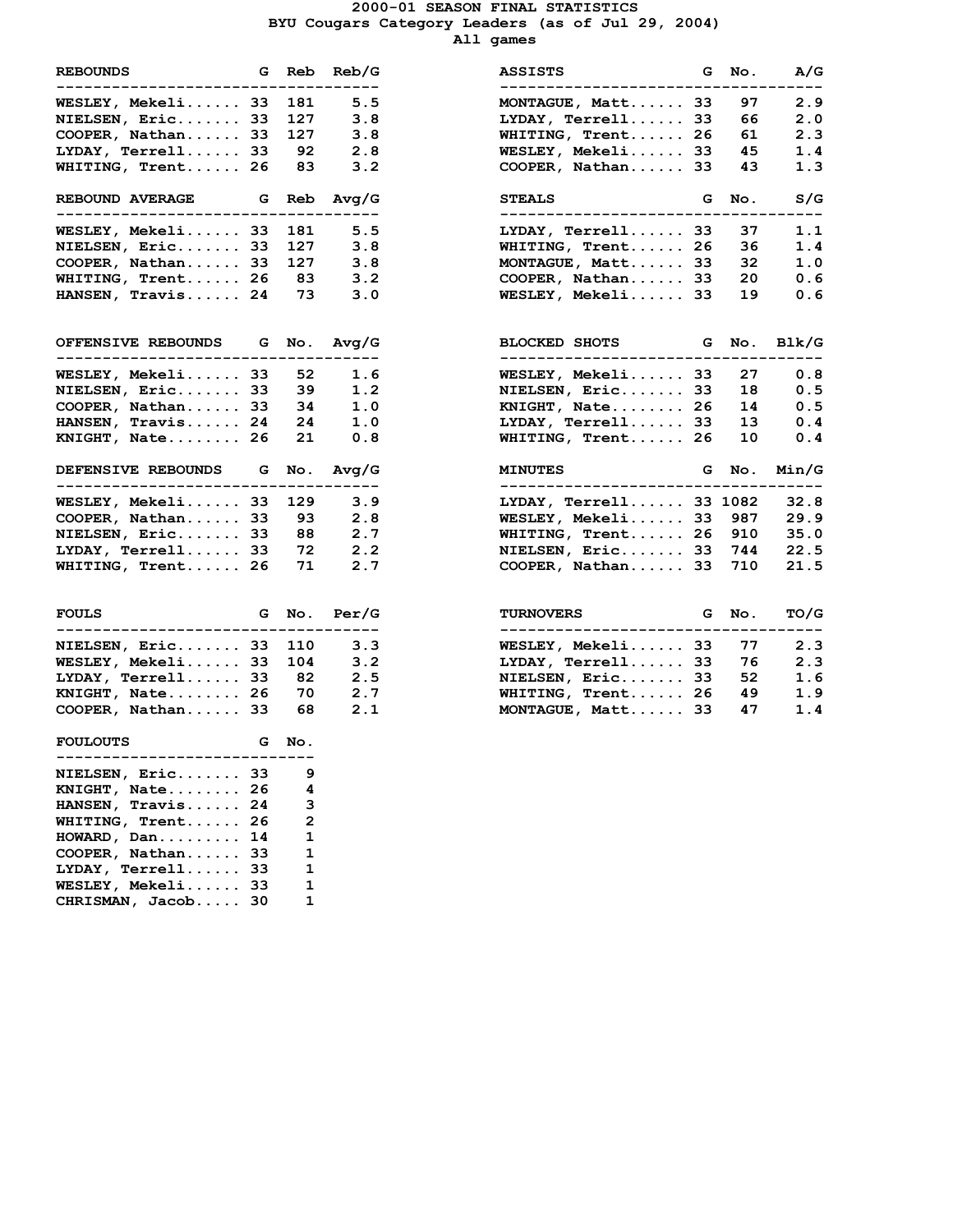#### **2000-01 SEASON FINAL STATISTICS BYU Cougars Category Leaders (as of Jul 29, 2004) All games**

| <b>REBOUNDS</b><br>-----------------------                  |         |       | G Reb Reb/<br>-----         |
|-------------------------------------------------------------|---------|-------|-----------------------------|
| WESLEY, Mekeli 33 181 5.                                    |         |       |                             |
| <b>NIELSEN, Eric 33 127</b>                                 |         |       | 3.                          |
|                                                             |         |       | 3.                          |
| COOPER, Nathan 33 127<br>LYDAY, Terrell 33 92               |         |       | 2.                          |
| WHITING, Trent 26 83 3.                                     |         |       |                             |
| REBOUND AVERAGE G Reb Avg/<br>----------------              |         |       |                             |
| WESLEY, Mekeli 33 181 5.                                    |         |       |                             |
|                                                             |         |       | 3.                          |
| NIELSEN, Eric 33 127<br>COOPER, Nathan 33 127               |         |       | 3.                          |
| WHITING, Trent 26 83 3.                                     |         |       |                             |
| HANSEN, Travis 24 73 3.                                     |         |       |                             |
| OFFENSIVE REBOUNDS G No. Avg/<br>--------------------       | . .     |       |                             |
| WESLEY, Mekeli 33 52 1.                                     |         |       |                             |
| <b>NIELSEN, Eric 33 39</b>                                  |         |       | $1$ .                       |
| COOPER, Nathan 33 34                                        |         |       | 1.                          |
| HANSEN, Travis 24                                           |         | 24    | 1.                          |
| $KNIGHT$ , $Nate$ 26 21                                     |         |       | $\mathbf 0$ .               |
| DEFENSIVE REBOUNDS G No. Avg/<br>--------------------       | $- - -$ |       |                             |
| WESLEY, Mekeli 33 129 3.                                    |         |       |                             |
|                                                             |         |       | 2.                          |
| COOPER, Nathan 33 93<br>NIELSEN, Eric 33 88                 |         |       | 2.                          |
| LYDAY, Terrell $33$ 72 2.                                   |         |       |                             |
| WHITING, Trent 26 71 2.                                     |         |       |                             |
| <b>FOULS</b>                                                |         |       | G No. Per/                  |
| .                                                           |         |       |                             |
| NIELSEN, Eric 33                                            |         | 110   | $\overline{\phantom{a}}$ 3. |
| WESLEY, Mekeli 33 104                                       |         |       | 3.                          |
| $LYDAY$ , Terrell 33 82                                     |         |       | 2.                          |
| $KNIGHT, Rate 26$                                           |         | 70    | 2.                          |
| COOPER, Nathan 33 68                                        |         |       | 2.                          |
| <b>FOULOUTS</b><br>. _ _ _ _ _ _ _ _ .<br>. _ _ _ _ _ _ _ . |         | G No. |                             |
| NIELSEN, Eric                                               | 33      | 9     |                             |
| KNIGHT, Nate                                                | 26      | 4     |                             |
| HANSEN, Travis                                              | 24      | з     |                             |
| WHITING, Trent                                              | 26      | 2     |                             |
| HOWARD, Dan                                                 | 14      | 1     |                             |
| COOPER, Nathan                                              | 33      | 1     |                             |
| LYDAY, Terrell                                              | 33      | 1     |                             |
| WESLEY, Mekeli                                              | 33      | 1     |                             |
| CHRISMAN, Jacob                                             | 30      | 1     |                             |

| <b>REBOUNDS</b>                 | G Reb | Reb/G | <b>ASSISTS</b><br>------------------- |          | G No. | A/G   |
|---------------------------------|-------|-------|---------------------------------------|----------|-------|-------|
| <b>WESLEY, Mekeli 33</b>        | 181   | 5.5   | MONTAGUE, Matt 33                     |          | 97    | 2.9   |
| NIELSEN, Eric 33                | 127   | 3.8   | LYDAY, Terrell 33                     |          | 66    | 2.0   |
| COOPER, Nathan 33               | 127   | 3.8   | WHITING, Trent                        | 26       | 61    | 2.3   |
| LYDAY, Terrell 33               | 92    | 2.8   | WESLEY, Mekeli 33                     |          | 45    | 1.4   |
| <b>WHITING, Trent 26</b>        | 83    | 3.2   | COOPER, Nathan 33                     |          | 43    | 1.3   |
| <b>REBOUND AVERAGE</b>          | G Reb | Avq/G | <b>STEALS</b><br>---------------      | G        | No.   | S/G   |
| <b>WESLEY, Mekeli 33</b>        | 181   | 5.5   | $LYDAY$ , $Terrell$ 33                |          | 37    | 1.1   |
| NIELSEN, Eric 33                | 127   | 3.8   | WHITING, Trent 26                     |          | 36    | 1.4   |
| COOPER, Nathan 33               | 127   | 3.8   | MONTAGUE, Matt                        | 33       | 32    | 1.0   |
| <b>WHITING, Trent 26</b>        | - 83  | 3.2   | COOPER, Nathan 33                     |          | 20    | 0.6   |
| <b>HANSEN, Travis 24</b>        | 73    | 3.0   | WESLEY, Mekeli 33                     |          | 19    | 0.6   |
| <b>OFFENSIVE REBOUNDS G No.</b> |       | Avq/G | <b>BLOCKED SHOTS</b><br><b>G</b>      |          | No.   | Blk/G |
| <b>WESLEY, Mekeli 33</b>        | 52    | 1.6   | WESLEY, Mekeli 33                     |          | 27    | 0.8   |
| NIELSEN, Eric 33                | 39    | 1.2   | NIELSEN, Eric 33                      |          | 18    | 0.5   |
| COOPER, Nathan 33               | 34    | 1.0   | KNIGHT, Nate 26                       |          | 14    | 0.5   |
| HANSEN, Travis 24               | 24    | 1.0   | LYDAY, Terrell 33                     |          | 13    | 0.4   |
| KNIGHT, Nate 26                 | 21    | 0.8   | WHITING, Trent 26                     |          | 10    | 0.4   |
| <b>DEFENSIVE REBOUNDS</b>       | G No. | Avq/G | <b>MINUTES</b>                        | G        | No.   | Min/G |
| <b>WESLEY, Mekeli 33</b>        | 129   | 3.9   | LYDAY, Terrell 33 1082                |          |       | 32.8  |
| COOPER, Nathan 33               | 93    | 2.8   | WESLEY, Mekeli 33                     |          | 987   | 29.9  |
| NIELSEN, Eric 33                | 88    | 2.7   | WHITING, Trent 26                     |          | 910   | 35.0  |
| LYDAY, Terrell 33               | 72    | 2.2   | NIELSEN, Eric 33                      |          | 744   | 22.5  |
| <b>WHITING, Trent 26</b>        | 71    | 2.7   | COOPER, Nathan 33                     |          | 710   | 21.5  |
| FOULS                           | G No. | Per/G | <b>TURNOVERS</b>                      | <b>G</b> | No.   | TO/G  |
| NIELSEN, Eric 33                | 110   | 3.3   | WESLEY, Mekeli 33                     |          | 77    | 2.3   |
| <b>WESLEY, Mekeli 33</b>        | 104   | 3.2   | $LYDAY$ , Terrell 33                  |          | 76    | 2.3   |
| LYDAY, Terrell 33               | 82    | 2.5   | NIELSEN, Eric 33                      |          | 52    | 1.6   |
| KNIGHT, Nate 26                 | 70    | 2.7   | WHITING, Trent 26                     |          | 49    | 1.9   |
| COOPER, Nathan 33               | 68    | 2.1   | MONTAGUE, Matt 33                     |          | 47    | 1.4   |
| <b>MAIL AIRS</b>                |       |       |                                       |          |       |       |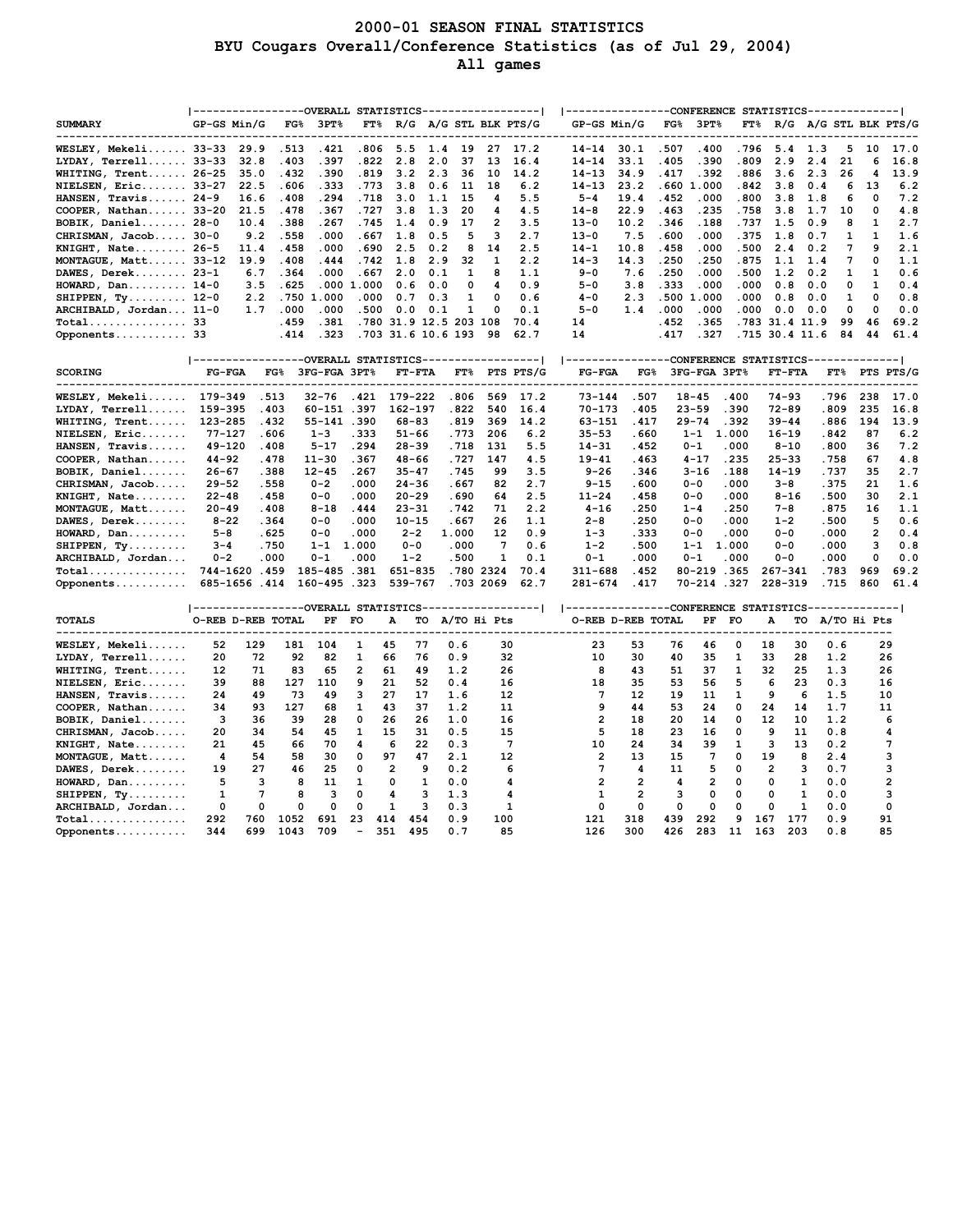## **2000-01 SEASON FINAL STATISTICS BYU Cougars Overall/Conference Statistics (as of Jul 29, 2004) All games**

| <b>SUMMARY</b>                             | -----------------OVERALL STATISTICS----------------- <br>GP-GS Min/G |              | $FG\%$       | 3PT          | $FT\%$         |                         |            |             |                | R/G A/G STL BLK PTS/G | GP-GS Min/G             | ---------------CONFERENCE STATISTICS-------------- | FG <sub>8</sub> | $3PT$ %      |              |                         |                |               |                         | FT% R/G A/G STL BLK PTS/G |
|--------------------------------------------|----------------------------------------------------------------------|--------------|--------------|--------------|----------------|-------------------------|------------|-------------|----------------|-----------------------|-------------------------|----------------------------------------------------|-----------------|--------------|--------------|-------------------------|----------------|---------------|-------------------------|---------------------------|
|                                            |                                                                      |              |              |              |                |                         |            |             |                |                       |                         |                                                    |                 |              |              |                         |                |               |                         |                           |
| WESLEY, Mekeli 33-33                       |                                                                      | 29.9         | .513         | .421         | .806           | 5.5                     | 1.4        | 19          | 27             | 17.2                  | $14 - 14$               | 30.1                                               | .507            | .400         | . 796        | 5.4                     | 1.3            | 5             | 10                      | 17.0                      |
| $LYDAY$ , Terrell 33-33                    |                                                                      | 32.8         | .403         | .397         | .822           | 2.8                     | 2.0        | 37          | 13             | 16.4                  | $14 - 14$               | 33.1                                               | .405            | .390         | .809         | 2.9                     | 2.4            | 21            | 6                       | 16.8                      |
| WHITING, Trent 26-25                       |                                                                      | 35.0         | .432         | .390         | .819           | 3.2                     | 2.3        | 36          | 10             | 14.2                  | $14 - 13$               | 34.9                                               | .417            | .392         | .886         | 3.6                     | 2.3            | 26            | 4                       | 13.9                      |
| <b>NIELSEN, Eric 33-27</b>                 |                                                                      | 22.5         | .606         | . 333        | .773           | 3.8                     | 0.6        | 11          | 18             | 6.2                   | $14 - 13$               | 23.2                                               |                 | .6601.000    | .842         | 3.8                     | 0.4            | 6             | 13                      | 6.2                       |
| HANSEN, Travis 24-9                        |                                                                      | 16.6         | .408         | .294         | .718           | 3.0                     | 1.1        | 15          | 4              | 5.5                   | $5 - 4$                 | 19.4                                               | .452            | .000         | .800         | 3.8                     | 1.8            | 6             | $\Omega$                | 7.2                       |
| COOPER, Nathan 33-20                       |                                                                      | 21.5         | .478         | .367         | .727           | 3.8                     | 1.3        | 20          | 4              | 4.5                   | $14 - 8$                | 22.9                                               | .463            | .235         | .758         | 3.8                     | 1.7            | 10            | 0                       | 4.8                       |
| BOBIK, Daniel 28-0                         |                                                                      | 10.4         | .388         | .267         | .745           | 1.4                     | 0.9        | 17          | $\overline{2}$ | 3.5                   | $13 - 0$                | 10.2                                               | .346            | .188         | .737         | 1.5                     | 0.9            | 8             | 1                       | 2.7                       |
| CHRISMAN, Jacob 30-0                       |                                                                      | 9.2          | .558         | .000         | .667           | 1.8                     | 0.5        | 5           | 3              | 2.7                   | $13 - 0$                | 7.5                                                | .600            | .000         | .375         | 1.8                     | 0.7            | 1             | $\mathbf{1}$<br>9       | 1.6                       |
| KNIGHT, Nate 26-5                          |                                                                      | 11.4         | .458         | .000         | .690           | 2.5                     | 0.2        | 8           | 14             | 2.5                   | $14 - 1$                | 10.8                                               | .458            | .000         | .500         | 2.4                     | 0.2            | 7             |                         | 2.1                       |
| MONTAGUE, Matt 33-12                       |                                                                      | 19.9         | .408<br>.364 | .444<br>.000 | .742           | 1.8                     | 2.9        | 32          | 1              | 2.2                   | $14 - 3$                | 14.3<br>7.6                                        | .250            | .250<br>.000 | .875<br>.500 | 1.1<br>1.2              | 1.4            | 7             | 0                       | 1.1                       |
| DAWES, Derek 23-1                          |                                                                      | 6.7<br>3.5   | .625         | .000         | .667<br>1.000  | 2.0<br>0.6              | 0.1<br>0.0 | 1<br>0      | 8<br>4         | 1.1<br>0.9            | $9 - 0$<br>5-0          | 3.8                                                | .250            | .000         | .000         | 0.8                     | 0.2<br>0.0     | 1<br>0        | 1<br>1                  | 0.6<br>0.4                |
| HOWARD, Dan 14-0                           |                                                                      | 2.2          |              | .750 1.000   | .000           | 0.7                     | 0.3        | 1           | O              | 0.6                   | 4-0                     | 2.3                                                | . 333           | .500 1.000   | .000         | 0.8                     | 0.0            | 1             | 0                       | 0.8                       |
| SHIPPEN, Ty 12-0<br>ARCHIBALD, Jordan 11-0 |                                                                      | 1.7          | .000         | .000         | .500           | 0.0                     | 0.1        | 1           | 0              | 0.1                   | $5 - 0$                 | 1.4                                                | .000            | .000         | .000         | 0.0                     | 0.0            | 0             | 0                       | 0.0                       |
| Total 33                                   |                                                                      |              | .459         | .381         |                | .780 31.9 12.5 203 108  |            |             |                | 70.4                  | 14                      |                                                    | .452            | .365         |              |                         | .783 31.4 11.9 | 99            | 46                      | 69.2                      |
| Opponents 33                               |                                                                      |              | .414         | . 323        |                | .703 31.6 10.6 193      |            |             | 98             | 62.7                  | 14                      |                                                    | .417            | .327         |              |                         | .715 30.4 11.6 | 84            | 44                      | 61.4                      |
|                                            |                                                                      |              |              |              |                |                         |            |             |                |                       |                         |                                                    |                 |              |              |                         |                |               |                         |                           |
|                                            | ----------------OVERALL STATISTICS-----------------                  |              |              |              |                |                         |            |             |                |                       |                         | ---------------CONFERENCE STATISTICS-------------- |                 |              |              |                         |                |               |                         |                           |
| <b>SCORING</b>                             | $FG-FGA$                                                             |              | $_{\rm FG8}$ | 3FG-FGA 3PT% |                |                         | $FT-FTA$   |             |                | FT% PTS PTS/G         | <b>FG-FGA</b>           | $FG\%$                                             |                 | 3FG-FGA 3PT% |              | $FT-FTA$                |                | FT%           |                         | PTS PTS/G                 |
| <b>WESLEY, Mekeli</b>                      | 179-349                                                              | .513         |              | $32 - 76$    | .421           | 179-222                 |            | .806        | 569            | 17.2                  | 73-144                  | .507                                               |                 | $18 - 45$    | .400         | 74-93                   |                | . 796         | 238                     | 17.0                      |
| $LYDAY$ , $Terrell$                        | 159-395                                                              | .403         |              | 60-151.397   |                | 162-197                 |            | .822        | 540            | 16.4                  | 70-173                  | .405                                               |                 | $23 - 59$    | .390         | $72 - 89$               |                | .809          | 235                     | 16.8                      |
| WHITING, Trent                             | 123-285                                                              | .432         |              | 55-141.390   |                | 68-83                   |            | .819        | 369            | 14.2                  | 63-151                  | .417                                               |                 | $29 - 74$    | .392         | $39 - 44$               |                | .886          | 194                     | 13.9                      |
| NIELSEN, Eric                              | $77 - 127$                                                           | .606         |              | $1 - 3$      | .333           | $51 - 66$               |            | . 773       | 206            | 6.2                   | $35 - 53$               | .660                                               |                 | $1 - 1$      | 1.000        | $16 - 19$               |                | .842          | 87                      | 6.2                       |
| HANSEN, Travis                             | $49 - 120$                                                           | .408         |              | $5 - 17$     | .294           | $28 - 39$               |            | .718        | 131            | 5.5                   | $14 - 31$               | .452                                               |                 | $0 - 1$      | .000         | $8 - 10$                |                | .800          | 36                      | 7.2                       |
| COOPER, Nathan                             | $44 - 92$                                                            | .478         |              | $11 - 30$    | .367           | $48 - 66$               |            | .727        | 147            | 4.5                   | $19 - 41$               | .463                                               |                 | $4 - 17$     | .235         | $25 - 33$               |                | .758          | 67                      | 4.8                       |
| BOBIK, Daniel                              | 26–67                                                                | .388         |              | $12 - 45$    | .267           | $35 - 47$               |            | .745        | 99             | 3.5                   | $9 - 26$                | .346                                               |                 | 3-16         | .188         | $14 - 19$               |                | .737          | 35                      | 2.7                       |
| CHRISMAN, Jacob                            | $29 - 52$                                                            | .558         |              | $0 - 2$      | .000           | $24 - 36$               |            | . 667       | 82             | 2.7                   | $9 - 15$                | .600                                               |                 | $0 - 0$      | .000         | $3 - 8$                 |                | .375          | 21                      | 1.6                       |
| KNIGHT, Nate                               | 22-48                                                                | .458         |              | 0-0          | .000           | $20 - 29$               |            | .690        | 64             | 2.5                   | $11 - 24$               | .458                                               |                 | $0 - 0$      | .000         | $8 - 16$                |                | .500          | 30                      | 2.1                       |
| MONTAGUE, Matt                             | $20 - 49$                                                            | .408         |              | 8-18         | .444           | $23 - 31$               |            | .742        | 71             | 2.2                   | $4 - 16$                | .250                                               |                 | $1 - 4$      | .250         | $7 - 8$                 |                | . 875         | 16                      | 1.1                       |
| DAWES, Derek                               | $8 - 22$                                                             | .364         |              | 0-0          | .000           | $10 - 15$               |            | . 667       | 26             | 1.1                   | $2 - 8$                 | .250                                               |                 | $0 - 0$      | .000         | $1 - 2$                 |                | .500          | 5                       | 0.6                       |
| HOWARD, Dan                                | $5 - 8$                                                              | .625         |              | 0-0          | .000           | $2 - 2$                 |            | 1.000       | 12             | 0.9                   | $1 - 3$                 | .333                                               |                 | $0 - 0$      | .000         | $0 - 0$                 |                | .000          | $\overline{\mathbf{2}}$ | 0.4                       |
| SHIPPEN, Ty                                | $3 - 4$                                                              | .750         |              | $1 - 1$      | 1.000          | $0 - 0$                 |            | .000        | 7              | 0.6                   | $1 - 2$                 | .500                                               |                 | $1 - 1$      | 1.000        | $0 - 0$                 |                | .000          | з                       | 0.8                       |
| ARCHIBALD, Jordan                          | $0 - 2$                                                              | .000         |              | $0 - 1$      | .000           | $1 - 2$                 |            | .500        | 1              | 0.1                   | $0 - 1$                 | .000                                               |                 | $0 - 1$      | .000         | $0 - 0$                 |                | .000          | $\mathbf 0$             | 0.0                       |
| Total                                      | 744-1620                                                             | .459         |              | 185-485      | .381           | 651-835                 |            | .780        | 2324           | 70.4                  | $311 - 688$             | .452                                               |                 | 80-219       | .365         | 267-341                 |                | .783          | 969                     | 69.2                      |
| Opponents                                  |                                                                      | 685-1656.414 |              | 160-495.323  |                | 539-767                 |            |             | .703 2069      | 62.7                  | 281-674                 | .417                                               |                 | 70-214       | .327         | 228-319                 |                | .715          | 860                     | 61.4                      |
|                                            | ----------------OVERALL STATISTICS------------------                 |              |              |              |                |                         |            |             |                |                       |                         | ----------------CONFERENCE STATISTICS              |                 |              |              |                         |                | ------------- |                         |                           |
| <b>TOTALS</b>                              | O-REB D-REB TOTAL                                                    |              |              | PF           | FO             | А                       | то         | A/TO Hi Pts |                |                       |                         | O-REB D-REB TOTAL                                  |                 | PF           | FO           | А                       | то             | A/TO Hi Pts   |                         |                           |
| WESLEY, Mekeli                             | 52                                                                   | 129          | 181          | 104          | 1              | 45                      | 77         | 0.6         |                | 30                    | 23                      | 53                                                 | 76              | 46           | 0            | 18                      | 30             | 0.6           |                         | 29                        |
| $LYDAY$ , $Terrell$                        | 20                                                                   | 72           | 92           | 82           | 1              | 66                      | 76         | 0.9         |                | 32                    | 10                      | 30                                                 | 40              | 35           | 1            | 33                      | 28             | 1.2           |                         | 26                        |
| WHITING, Trent                             | 12                                                                   | 71           | 83           | 65           | $\overline{2}$ | 61                      | 49         | 1.2         |                | 26                    | 8                       | 43                                                 | 51              | 37           | 1            | 32                      | 25             | 1.3           |                         | 26                        |
| NIELSEN, Eric                              | 39                                                                   | 88           | 127          | 110          | 9              | 21                      | 52         | 0.4         |                | 16                    | 18                      | 35                                                 | 53              | 56           | 5            | 6                       | 23             | 0.3           |                         | 16                        |
| HANSEN, Travis                             | 24                                                                   | 49           | 73           | 49           | 3              | 27                      | 17         | 1.6         |                | 12                    | 7                       | 12                                                 | 19              | 11           | 1            | 9                       | 6              | 1.5           |                         | 10                        |
| COOPER, Nathan                             | 34                                                                   | 93           | 127          | 68           | 1              | 43                      | 37         | 1.2         |                | 11                    | 9                       | 44                                                 | 53              | 24           | 0            | 24                      | 14             | 1.7           |                         | 11                        |
| BOBIK, Daniel                              | 3                                                                    | 36           | 39           | 28           | 0              | 26                      | 26         | 1.0         |                | 16                    | $\overline{2}$          | 18                                                 | 20              | 14           | 0            | 12                      | 10             | 1.2           |                         | 6                         |
| CHRISMAN, Jacob                            | 20                                                                   | 34           | 54           | 45           | 1              | 15                      | 31         | 0.5         |                | 15                    | 5                       | 18                                                 | 23              | 16           | 0            | 9                       | 11             | 0.8           |                         | 4                         |
| KNIGHT, Nate                               | 21                                                                   | 45           | 66           | 70           | 4              | 6                       | 22         | 0.3         |                | $7\phantom{.0}$       | 10                      | 24                                                 | 34              | 39           | 1            | з                       | 13             | 0.2           |                         | 7                         |
| MONTAGUE, Matt                             | 4                                                                    | 54           | 58           | 30           | 0              | 97                      | 47         | 2.1         |                | 12                    | $\overline{\mathbf{2}}$ | 13                                                 | 15              | 7            | 0            | 19                      | 8              | 2.4           |                         | 3                         |
| DAWES, Derek                               | 19                                                                   | 27           | 46           | 25           | 0              | $\overline{\mathbf{2}}$ | 9          | 0.2         |                | 6                     | 7                       | 4                                                  | 11              | 5            | 0            | $\overline{\mathbf{2}}$ | 3              | 0.7           |                         | 3                         |
| HOWARD, Dan                                | 5                                                                    | з            | 8            | 11           | 1              | 0                       | 1          | 0.0         |                | 4                     | 2                       | $\overline{2}$                                     | 4               | 2            | 0            | 0                       | 1              | 0.0           |                         | 2                         |
| SHIPPEN, Ty                                | 1                                                                    | 7            | 8            | 3            | 0              | 4                       | з          | 1.3         |                | 4                     | 1                       | $\overline{2}$                                     | 3               | $\mathbf 0$  | $\mathbf 0$  | $\Omega$                | 1              | 0.0           |                         | 3                         |
| ARCHIBALD, Jordan                          | 0                                                                    | 0            | $\mathbf 0$  | $\mathbf 0$  | 0              | $\mathbf{1}$            | з          | 0.3         |                | 1                     | $\mathbf 0$             | $\mathbf 0$                                        | 0               | $\mathbf 0$  | $\mathbf 0$  | 0                       | 1              | 0.0           |                         | 0                         |
| Total                                      | 292                                                                  | 760          | 1052         | 691          | 23             | 414                     | 454        | 0.9         | 100            |                       | 121                     | 318                                                | 439             | 292          | 9            | 167                     | 177            | 0.9           |                         | 91                        |
| Opponents                                  | 344                                                                  | 699          | 1043         | 709          |                | 351                     | 495        | 0.7         |                | 85                    | 126                     | 300                                                | 426             | 283          | 11           | 163                     | 203            | 0.8           |                         | 85                        |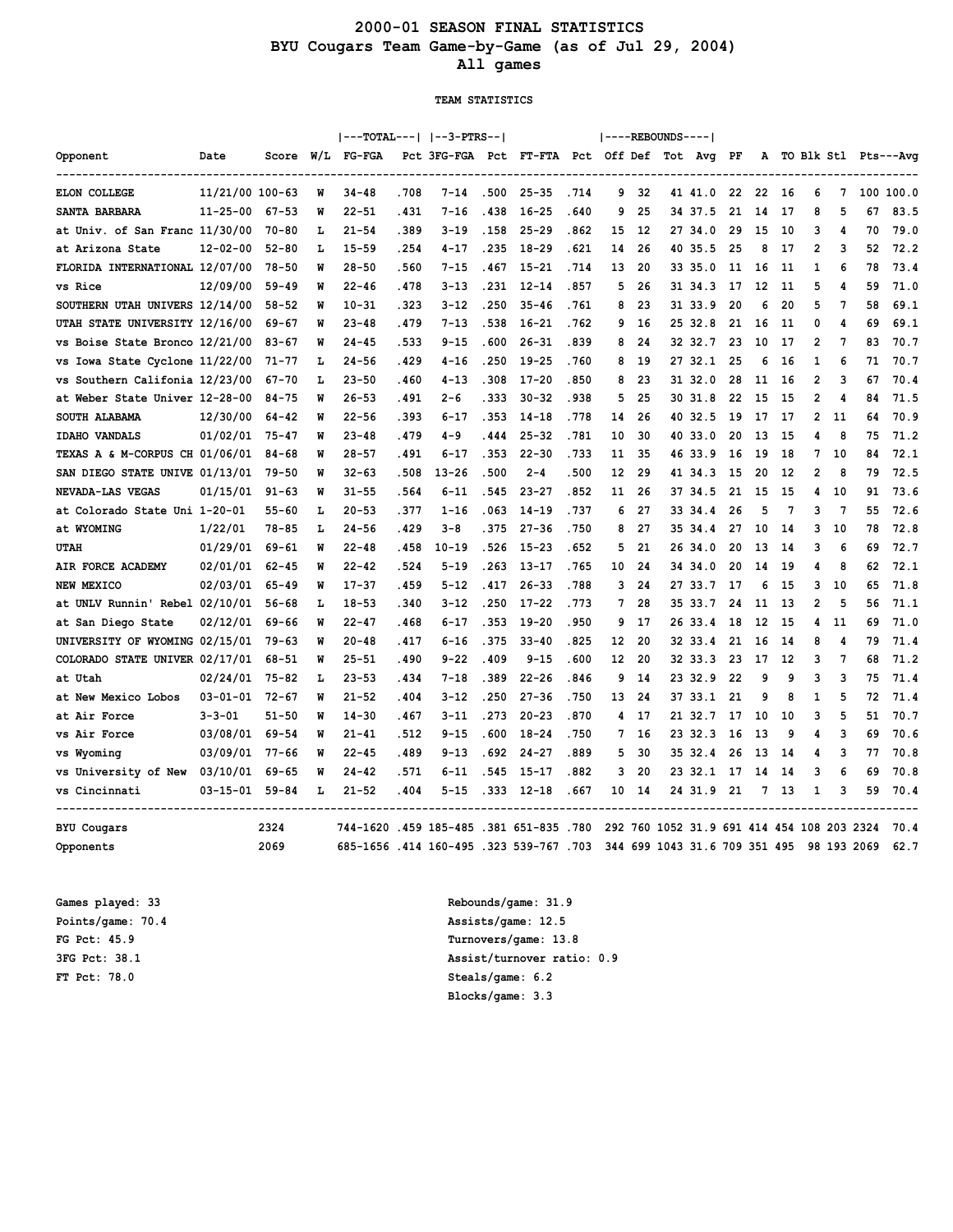## **2000-01 SEASON FINAL STATISTICS BYU Cougars Team Game-by-Game (as of Jul 29, 2004) All games**

#### **TEAM STATISTICS**

|                                |                 |           |     | ---TOTAL---   --3-PTRS--             |         |                                               |       |                |       |    |     | ----REBOUNDS---- |                                            |    |    |      |                |    |             |                        |
|--------------------------------|-----------------|-----------|-----|--------------------------------------|---------|-----------------------------------------------|-------|----------------|-------|----|-----|------------------|--------------------------------------------|----|----|------|----------------|----|-------------|------------------------|
| Opponent                       | Date            | Score     | W/L | FG-FGA                               |         | Pct 3FG-FGA Pct FT-FTA Pct Off Def Tot Avg PF |       |                |       |    |     |                  |                                            |    |    |      |                |    |             | A TO Blk Stl Pts---Avg |
| <b>ELON COLLEGE</b>            | 11/21/00 100-63 |           | M   | 34-48                                | .708    | $7 - 14$                                      | .500  | $25 - 35$      | .714  | 9  | 32  |                  | 41 41.0                                    | 22 | 22 | - 16 | 6              | 7  |             | 100 100.0              |
| SANTA BARBARA                  | $11 - 25 - 00$  | 67-53     | M   | $22 - 51$                            | . 431   | $7 - 16$                                      | .438  | $16 - 25$      | .640  | 9  | 25  |                  | 34 37.5                                    | 21 | 14 | 17   | 8              | 5  | 67          | 83.5                   |
| at Univ. of San Franc 11/30/00 |                 | $70 - 80$ | L   | $21 - 54$                            | .389    | $3 - 19$                                      | . 158 | $25 - 29$      | .862  | 15 | 12  |                  | 27 34.0                                    | 29 | 15 | 10   | 3              | 4  | 70          | 79.0                   |
| at Arizona State               | $12 - 02 - 00$  | $52 - 80$ | L   | $15 - 59$                            | .254    | $4 - 17$                                      | . 235 | $18 - 29$      | . 621 | 14 | 26  |                  | 40 35.5                                    | 25 | 8  | 17   | 2              | 3  | 52          | 72.2                   |
| FLORIDA INTERNATIONAL 12/07/00 |                 | $78 - 50$ | M   | $28 - 50$                            | .560    | $7 - 15$                                      | . 467 | $15 - 21$      | .714  | 13 | 20  |                  | 33 35.0                                    | 11 | 16 | 11   | 1              | 6  | 78          | 73.4                   |
| vs Rice                        | 12/09/00        | $59 - 49$ | M   | $22 - 46$                            | .478    | $3 - 13$                                      | .231  | $12 - 14$      | .857  | 5  | 26  |                  | 31 34.3                                    | 17 | 12 | 11   | 5              | 4  | 59          | 71.0                   |
| SOUTHERN UTAH UNIVERS 12/14/00 |                 | $58 - 52$ | W   | $10 - 31$                            | .323    | $3 - 12$                                      | .250  | $35 - 46$      | .761  | 8  | 23  |                  | 31 33.9                                    | 20 | 6  | 20   | 5              | 7  | 58          | 69.1                   |
| UTAH STATE UNIVERSITY 12/16/00 |                 | 69-67     | W   | $23 - 48$                            | .479    | $7 - 13$                                      | .538  | $16 - 21$      | .762  | 9  | 16  |                  | 25 32.8                                    | 21 | 16 | -11  | 0              | 4  | 69          | 69.1                   |
| vs Boise State Bronco 12/21/00 |                 | 83-67     | W   | $24 - 45$                            | .533    | $9 - 15$                                      | .600  | $26 - 31$      | .839  | 8  | 24  |                  | 32 32.7                                    | 23 | 10 | 17   | 2              | 7  | 83          | 70.7                   |
| vs Iowa State Cyclone 11/22/00 |                 | 71-77     | L   | $24 - 56$                            | . 429   | $4 - 16$                                      | .250  | $19 - 25$      | .760  | 8  | 19  |                  | 27 32.1                                    | 25 | 6  | 16   | 1              | 6  | 71          | 70.7                   |
| vs Southern Califonia 12/23/00 |                 | 67-70     | L   | $23 - 50$                            | .460    | $4 - 13$                                      | .308  | $17 - 20$      | .850  | 8  | 23  |                  | 31 32.0                                    | 28 | 11 | 16   | 2              | 3  | 67          | 70.4                   |
| at Weber State Univer 12-28-00 |                 | 84-75     | M   | $26 - 53$                            | .491    | $2 - 6$                                       | . 333 | $30 - 32$      | .938  | 5  | 25  |                  | 30 31.8                                    | 22 | 15 | 15   | $\overline{2}$ | 4  | 84          | 71.5                   |
| <b>SOUTH ALABAMA</b>           | 12/30/00        | $64 - 42$ | M   | $22 - 56$                            | .393    | $6 - 17$                                      | . 353 | $14 - 18$      | .778  | 14 | 26  |                  | 40 32.5                                    | 19 | 17 | 17   | 2              | 11 | 64          | 70.9                   |
| <b>IDAHO VANDALS</b>           | 01/02/01        | $75 - 47$ | M   | $23 - 48$                            | .479    | $4 - 9$                                       | . 444 | $25 - 32$      | .781  | 10 | 30  |                  | 40 33.0                                    | 20 | 13 | 15   | 4              | 8  | 75          | 71.2                   |
| TEXAS A & M-CORPUS CH 01/06/01 |                 | 84-68     | M   | $28 - 57$                            | . 491   | $6 - 17$                                      | .353  | $22 - 30$      | .733  | 11 | 35  |                  | 4633.9                                     | 16 | 19 | 18   | 7              | 10 | 84          | 72.1                   |
| SAN DIEGO STATE UNIVE 01/13/01 |                 | $79 - 50$ | M   | $32 - 63$                            | .508    | $13 - 26$                                     | .500  | $2 - 4$        | .500  | 12 | 29  |                  | 41 34.3                                    | 15 | 20 | 12   | $\overline{2}$ | 8  | 79          | 72.5                   |
| NEVADA-LAS VEGAS               | 01/15/01        | $91 - 63$ | M   | $31 - 55$                            | .564    | $6 - 11$                                      | .545  | $23 - 27$      | .852  | 11 | 26  |                  | 37 34.5                                    | 21 | 15 | 15   | 4              | 10 | 91          | 73.6                   |
| at Colorado State Uni 1-20-01  |                 | $55 - 60$ | г   | $20 - 53$                            | .377    | $1 - 16$                                      | .063  | $14 - 19$      | .737  | 6  | 27  |                  | 33 34.4                                    | 26 | 5  | 7    | 3              | 7  | 55          | 72.6                   |
| at WYOMING                     | 1/22/01         | 78-85     | г   | $24 - 56$                            | .429    | $3 - 8$                                       | . 375 | $27 - 36$      | .750  | 8  | 27  |                  | 3534.4                                     | 27 | 10 | 14   | 3              | 10 | 78          | 72.8                   |
| <b>UTAH</b>                    | 01/29/01        | 69-61     | M   | 22-48                                | . 458   | $10 - 19$                                     | .526  | $15 - 23$      | . 652 | 5  | 21  |                  | 26 34.0                                    | 20 | 13 | 14   | 3              | 6  | 69          | 72.7                   |
| AIR FORCE ACADEMY              | 02/01/01        | $62 - 45$ | W   | $22 - 42$                            | .524    | 5-19                                          | .263  | $13 - 17$      | .765  | 10 | 24  |                  | 34 34.0                                    | 20 | 14 | 19   | 4              | 8  | 62          | 72.1                   |
| NEW MEXICO                     | 02/03/01        | $65 - 49$ | W   | $17 - 37$                            | .459    | $5 - 12$                                      | .417  | $26 - 33$      | .788  | 3  | 24  |                  | 27 33.7                                    | 17 | 6  | 15   | 3              | 10 | 65          | 71.8                   |
| at UNLV Runnin' Rebel 02/10/01 |                 | $56 - 68$ | L   | $18 - 53$                            | .340    | $3 - 12$                                      | .250  | $17 - 22$      | .773  | 7  | 28  |                  | 35 33.7                                    | 24 | 11 | -13  | $\overline{2}$ | 5  | 56          | 71.1                   |
| at San Diego State             | 02/12/01        | 69-66     | W   | $22 - 47$                            | .468    | $6 - 17$                                      | . 353 | $19 - 20$      | .950  | 9  | 17  |                  | 26 33.4                                    | 18 | 12 | 15   | 4              | 11 | 69          | 71.0                   |
| UNIVERSITY OF WYOMING 02/15/01 |                 | 79-63     | M   | $20 - 48$                            | .417    | $6 - 16$                                      | .375  | $33 - 40$      | .825  | 12 | 20  |                  | 32 33.4                                    | 21 | 16 | 14   | 8              | 4  | 79          | 71.4                   |
| COLORADO STATE UNIVER 02/17/01 |                 | $68 - 51$ | M   | $25 - 51$                            | .490    | $9 - 22$                                      | .409  | $9 - 15$       | .600  | 12 | 20  |                  | 32 33.3                                    | 23 | 17 | 12   | 3              | 7  | 68          | 71.2                   |
| at Utah                        | 02/24/01        | 75-82     | г   | $23 - 53$                            | .434    | $7 - 18$                                      | .389  | $22 - 26$      | .846  | 9  | 14  |                  | 23 32.9                                    | 22 | 9  | 9    | 3              | 3  | 75          | 71.4                   |
| at New Mexico Lobos            | $03 - 01 - 01$  | $72 - 67$ | M   | $21 - 52$                            | .404    | $3 - 12$                                      | .250  | $27 - 36$      | .750  | 13 | 24  |                  | 37 33.1                                    | 21 | 9  | 8    | 1              | 5  | 72          | 71.4                   |
| at Air Force                   | $3 - 3 - 01$    | $51 - 50$ | W   | $14 - 30$                            | .467    | $3 - 11$                                      | .273  | $20 - 23$      | .870  | 4  | 17  |                  | 21 32.7                                    | 17 | 10 | 10   | 3              | 5  | 51          | 70.7                   |
| vs Air Force                   | 03/08/01        | $69 - 54$ | M   | $21 - 41$                            | .512    | $9 - 15$                                      | .600  | $18 - 24$      | .750  | 7  | 16  |                  | 23 32.3                                    | 16 | 13 | 9    | 4              | 3  | 69          | 70.6                   |
| vs Wyoming                     | 03/09/01        | $77 - 66$ | M   | $22 - 45$                            | .489    | 9-13                                          | .692  | $24 - 27$      | .889  | 5  | 30  |                  | 35 32.4                                    | 26 | 13 | 14   | 4              | 3  | 77          | 70.8                   |
| vs University of New           | 03/10/01        | $69 - 65$ | W   | $24 - 42$                            | .571    | 6-11                                          | .545  | $15 - 17$      | .882  | 3  | 20  |                  | 23 32.1                                    | 17 | 14 | 14   | 3              | 6  | 69          | 70.8                   |
| vs Cincinnati                  | 03-15-01        | $59 - 84$ | L   | $21 - 52$                            | .404    | $5 - 15$                                      |       | $.333$ $12-18$ | .667  | 10 | -14 |                  | 24 31.9                                    | 21 | 7  | -13  | 1              | 3  | 59          | 70.4                   |
| <b>BYU</b> Cougars             |                 | 2324      |     | 744-1620.459 185-485.381 651-835.780 | ------- |                                               |       |                |       |    |     |                  | 292 760 1052 31.9 691 414 454 108 203 2324 |    |    |      |                |    |             | 70.4                   |
| Opponents                      |                 | 2069      |     | 685-1656.414 160-495.323 539-767.703 |         |                                               |       |                |       |    |     |                  | 344 699 1043 31.6 709 351 495              |    |    |      |                |    | 98 193 2069 | 62.7                   |

**FT Pct: 78.0 Steals/game: 6.2**

**Games played: 33 Rebounds/game: 31.9 Points/game: 70.4 Assists/game: 12.5 FG Pct: 45.9 Turnovers/game: 13.8 3FG Pct: 38.1 Assist/turnover ratio: 0.9 Blocks/game: 3.3**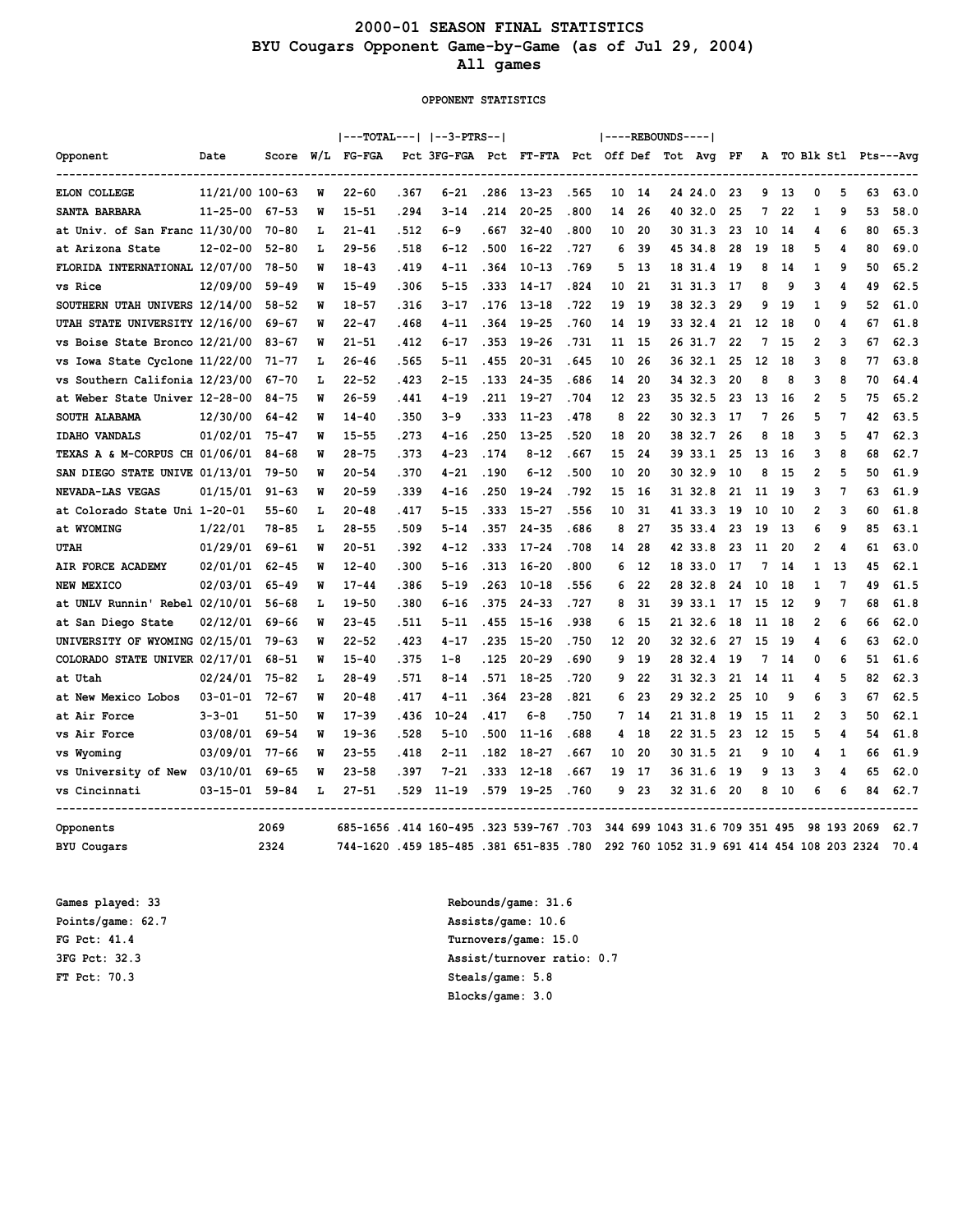## **2000-01 SEASON FINAL STATISTICS BYU Cougars Opponent Game-by-Game (as of Jul 29, 2004) All games**

#### **OPPONENT STATISTICS**

|                                |                 |           |     | ---TOTAL---   --3-PTRS--                |       |                                            |       |           |       |    |     | ----REBOUNDS---- |                                            |     |    |     |                |    |             |                      |
|--------------------------------|-----------------|-----------|-----|-----------------------------------------|-------|--------------------------------------------|-------|-----------|-------|----|-----|------------------|--------------------------------------------|-----|----|-----|----------------|----|-------------|----------------------|
| Opponent                       | Date            | Score     | W/L | <b>FG-FGA</b>                           |       | Pct 3FG-FGA Pct FT-FTA Pct Off Def Tot Avg |       |           |       |    |     |                  |                                            | PF  | А  |     |                |    |             | TO Blk Stl Pts---Avg |
| ELON COLLEGE                   | 11/21/00 100-63 |           | M   | $22 - 60$                               | .367  | 6-21                                       | .286  | $13 - 23$ | .565  | 10 | 14  |                  | 24 24.0                                    | 23  | 9  | -13 | 0              | 5  | 63          | 63.0                 |
| SANTA BARBARA                  | $11 - 25 - 00$  | $67 - 53$ | M   | $15 - 51$                               | .294  | $3 - 14$                                   | . 214 | $20 - 25$ | .800  | 14 | 26  |                  | 40 32.0                                    | 25  | 7  | 22  | 1              | 9  | 53          | 58.0                 |
| at Univ. of San Franc 11/30/00 |                 | $70 - 80$ | L   | $21 - 41$                               | . 512 | 6-9                                        | . 667 | $32 - 40$ | .800  | 10 | 20  |                  | 30 31.3                                    | 23  | 10 | 14  | 4              | 6  | 80          | 65.3                 |
| at Arizona State               | $12 - 02 - 00$  | $52 - 80$ | г   | $29 - 56$                               | .518  | $6 - 12$                                   | .500  | $16 - 22$ | .727  | 6  | 39  |                  | 45 34.8                                    | 28  | 19 | 18  | 5              | 4  | 80          | 69.0                 |
| FLORIDA INTERNATIONAL 12/07/00 |                 | $78 - 50$ | M   | $18 - 43$                               | .419  | $4 - 11$                                   | .364  | $10 - 13$ | .769  | 5  | 13  |                  | 18 31.4                                    | 19  | 8  | 14  | 1              | 9  | 50          | 65.2                 |
| vs Rice                        | 12/09/00        | $59 - 49$ | W   | $15 - 49$                               | .306  | $5 - 15$                                   | .333  | $14 - 17$ | .824  | 10 | 21  |                  | 31 31.3                                    | 17  | 8  | 9   | 3              | 4  | 49          | 62.5                 |
| SOUTHERN UTAH UNIVERS 12/14/00 |                 | $58 - 52$ | W   | $18 - 57$                               | .316  | 3-17                                       | . 176 | $13 - 18$ | .722  | 19 | -19 |                  | 38 32.3                                    | 29  | 9  | 19  | 1              | 9  | 52          | 61.0                 |
| UTAH STATE UNIVERSITY 12/16/00 |                 | 69-67     | M   | $22 - 47$                               | . 468 | $4 - 11$                                   | .364  | $19 - 25$ | .760  | 14 | 19  |                  | 33 32.4                                    | 21  | 12 | 18  | 0              | 4  | 67          | 61.8                 |
| vs Boise State Bronco 12/21/00 |                 | $83 - 67$ | M   | $21 - 51$                               | . 412 | $6 - 17$                                   | . 353 | $19 - 26$ | . 731 | 11 | 15  |                  | 26 31.7                                    | 22  | 7  | 15  | $\overline{2}$ | 3  | 67          | 62.3                 |
| vs Iowa State Cyclone 11/22/00 |                 | 71-77     | г   | $26 - 46$                               | .565  | 5-11                                       | 455   | $20 - 31$ | . 645 | 10 | 26  |                  | 36 32.1                                    | 25  | 12 | 18  | 3              | 8  | 77          | 63.8                 |
| vs Southern Califonia 12/23/00 |                 | $67 - 70$ | г   | $22 - 52$                               | .423  | $2 - 15$                                   | . 133 | $24 - 35$ | .686  | 14 | 20  |                  | 34 32.3                                    | 20  | 8  | 8   | 3              | 8  | 70          | 64.4                 |
| at Weber State Univer 12-28-00 |                 | $84 - 75$ | M   | $26 - 59$                               | .441  | $4 - 19$                                   | .211  | $19 - 27$ | .704  | 12 | 23  |                  | 35 32.5                                    | 23  | 13 | 16  | 2              | 5  | 75          | 65.2                 |
| SOUTH ALABAMA                  | 12/30/00        | $64 - 42$ | M   | $14 - 40$                               | .350  | $3 - 9$                                    | . 333 | $11 - 23$ | .478  | 8  | 22  |                  | 30 32.3                                    | 17  | 7  | 26  | 5              | 7  | 42          | 63.5                 |
| <b>IDAHO VANDALS</b>           | 01/02/01        | $75 - 47$ | M   | $15 - 55$                               | .273  | $4 - 16$                                   | .250  | $13 - 25$ | .520  | 18 | 20  |                  | 38 32.7                                    | 26  | 8  | 18  | 3              | 5  | 47          | 62.3                 |
| TEXAS A & M-CORPUS CH 01/06/01 |                 | 84-68     | W   | $28 - 75$                               | . 373 | $4 - 23$                                   | .174  | $8 - 12$  | . 667 | 15 | 24  |                  | 3933.1                                     | 25  | 13 | 16  | 3              | 8  | 68          | 62.7                 |
| SAN DIEGO STATE UNIVE 01/13/01 |                 | 79-50     | W   | $20 - 54$                               | .370  | $4 - 21$                                   | .190  | $6 - 12$  | .500  | 10 | 20  |                  | 3032.9                                     | 10  | 8  | 15  | 2              | 5  | 50          | 61.9                 |
| NEVADA-LAS VEGAS               | 01/15/01        | $91 - 63$ | M   | $20 - 59$                               | . 339 | $4 - 16$                                   | . 250 | $19 - 24$ | .792  | 15 | 16  |                  | 31 32.8                                    | 21  | 11 | -19 | 3              | 7  | 63          | 61.9                 |
| at Colorado State Uni 1-20-01  |                 | $55 - 60$ | L   | $20 - 48$                               | .417  | 5-15                                       | .333  | $15 - 27$ | .556  | 10 | 31  |                  | 41 33.3                                    | 19  | 10 | 10  | 2              | 3  | 60          | 61.8                 |
| at WYOMING                     | 1/22/01         | 78-85     | L   | $28 - 55$                               | .509  | $5 - 14$                                   | . 357 | $24 - 35$ | . 686 | 8  | 27  |                  | 35 33.4                                    | 23  | 19 | 13  | 6              | 9  | 85          | 63.1                 |
| <b>UTAH</b>                    | 01/29/01        | $69 - 61$ | M   | $20 - 51$                               | .392  | $4 - 12$                                   | .333  | $17 - 24$ | .708  | 14 | 28  |                  | 42 33.8                                    | 23  | 11 | 20  | 2              | 4  | 61          | 63.0                 |
| AIR FORCE ACADEMY              | 02/01/01        | $62 - 45$ | M   | $12 - 40$                               | .300  | 5-16                                       | .313  | $16 - 20$ | .800  | 6  | 12  |                  | 18 33.0                                    | 17  | 7  | 14  | 1              | 13 | 45          | 62.1                 |
| NEW MEXICO                     | 02/03/01        | $65 - 49$ | M   | $17 - 44$                               | .386  | $5 - 19$                                   | . 263 | $10 - 18$ | .556  | 6  | 22  |                  | 28 32.8                                    | 24  | 10 | 18  | 1              | 7  | 49          | 61.5                 |
| at UNLV Runnin' Rebel 02/10/01 |                 | $56 - 68$ | г   | $19 - 50$                               | .380  | $6 - 16$                                   | .375  | $24 - 33$ | .727  | 8  | 31  |                  | 39 33.1                                    | 17  | 15 | 12  | 9              | 7  | 68          | 61.8                 |
| at San Diego State             | 02/12/01        | $69 - 66$ | M   | $23 - 45$                               | .511  | $5 - 11$                                   | .455  | $15 - 16$ | .938  | 6  | 15  |                  | 21 32.6                                    | 18  | 11 | 18  | $\overline{2}$ | 6  | 66          | 62.0                 |
| UNIVERSITY OF WYOMING 02/15/01 |                 | $79 - 63$ | M   | $22 - 52$                               | .423  | $4 - 17$                                   | .235  | $15 - 20$ | .750  | 12 | 20  |                  | 32 32.6                                    | 27  | 15 | 19  | 4              | 6  | 63          | 62.0                 |
| COLORADO STATE UNIVER 02/17/01 |                 | 68-51     | M   | $15 - 40$                               | . 375 | $1 - 8$                                    | . 125 | $20 - 29$ | .690  | 9  | 19  |                  | 28 32.4                                    | -19 | 7  | 14  | 0              | 6  | 51          | 61.6                 |
| at Utah                        | 02/24/01        | $75 - 82$ | г   | $28 - 49$                               | .571  | $8 - 14$                                   | .571  | $18 - 25$ | .720  | 9  | 22  |                  | 31 32.3                                    | 21  | 14 | 11  | 4              | 5  | 82          | 62.3                 |
| at New Mexico Lobos            | $03 - 01 - 01$  | $72 - 67$ | M   | $20 - 48$                               | .417  | $4 - 11$                                   | .364  | $23 - 28$ | .821  | 6  | 23  |                  | 29 32.2                                    | 25  | 10 | 9   | 6              | 3  | 67          | 62.5                 |
| at Air Force                   | $3 - 3 - 01$    | $51 - 50$ | M   | $17 - 39$                               | .436  | $10 - 24$                                  | .417  | $6 - 8$   | . 750 | 7  | 14  |                  | 21 31.8                                    | 19  | 15 | 11  | $\overline{2}$ | 3  | 50          | 62.1                 |
| vs Air Force                   | 03/08/01        | $69 - 54$ | M   | $19 - 36$                               | .528  | 5-10                                       | .500  | $11 - 16$ | .688  | 4  | 18  |                  | 22 31.5                                    | 23  | 12 | 15  | 5              | 4  | 54          | 61.8                 |
| vs Wyoming                     | 03/09/01        | $77 - 66$ | M   | $23 - 55$                               | .418  | $2 - 11$                                   | .182  | $18 - 27$ | . 667 | 10 | 20  |                  | 30 31.5                                    | 21  | 9  | 10  | 4              | 1  | 66          | 61.9                 |
| vs University of New           | 03/10/01        | $69 - 65$ | M   | $23 - 58$                               | . 397 | $7 - 21$                                   | . 333 | $12 - 18$ | .667  | 19 | 17  |                  | 36 31.6                                    | 19  | 9  | 13  | 3              | 4  | 65          | 62.0                 |
| vs Cincinnati                  | $03 - 15 - 01$  | $59 - 84$ | г   | $27 - 51$                               | . 529 | $11 - 19$                                  | .579  | $19 - 25$ | .760  | 9  | 23  |                  | 32 31.6                                    | 20  | 8  | 10  | 6              | 6  | 84          | 62.7                 |
| Opponents                      |                 | 2069      |     | 685-1656 .414 160-495 .323 539-767 .703 |       |                                            |       |           |       |    |     |                  | 344 699 1043 31.6 709 351 495              |     |    |     |                |    | 98 193 2069 | 62.7                 |
| <b>BYU</b> Cougars             |                 | 2324      |     | 744-1620 .459 185-485 .381 651-835 .780 |       |                                            |       |           |       |    |     |                  | 292 760 1052 31.9 691 414 454 108 203 2324 |     |    |     |                |    |             | 70.4                 |

**FT Pct: 70.3 Steals/game: 5.8**

**Games played: 33 Rebounds/game: 31.6 Points/game: 62.7 Assists/game: 10.6 FG Pct: 41.4 Turnovers/game: 15.0 3FG Pct: 32.3 Assist/turnover ratio: 0.7 Blocks/game: 3.0**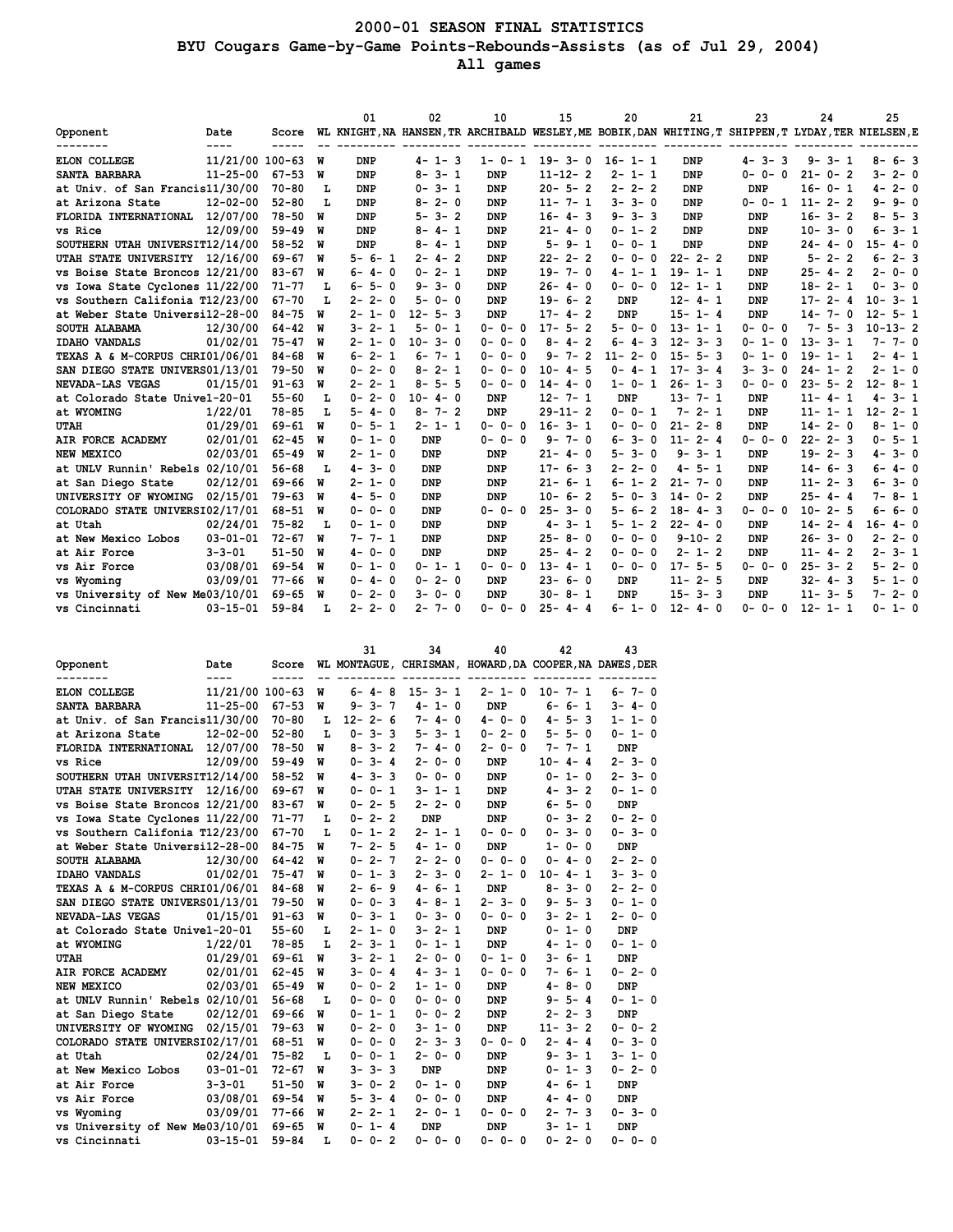## **2000-01 SEASON FINAL STATISTICS BYU Cougars Game-by-Game Points-Rebounds-Assists (as of Jul 29, 2004) All games**

|                                 |                 |           |   | 01               | 02            | 10          | 15            | 20                          | 21           | 23                       | 24                                                                                                         | 25              |
|---------------------------------|-----------------|-----------|---|------------------|---------------|-------------|---------------|-----------------------------|--------------|--------------------------|------------------------------------------------------------------------------------------------------------|-----------------|
| Opponent                        | Date<br>----    |           |   |                  |               |             |               |                             |              |                          | Score WL KNIGHT, NA HANSEN, TR ARCHIBALD WESLEY, ME BOBIK, DAN WHITING, T SHIPPEN, T LYDAY, TER NIELSEN, E |                 |
| <b>ELON COLLEGE</b>             | 11/21/00 100-63 |           | พ | <b>DNP</b>       | $4 - 1 - 3$   | $1 - 0 - 1$ | $19 - 3 - 0$  | $16 - 1 - 1$                | DNP          | $4 - 3 - 3$              | $9 - 3 - 1$                                                                                                | $8 - 6 - 3$     |
| SANTA BARBARA                   | $11 - 25 - 00$  | $67 - 53$ | W | DNP              | $8 - 3 - 1$   | <b>DNP</b>  | $11 - 12 - 2$ | $2 - 1 - 1$                 | DNP          | $0 - 0 - 0$              | $21 - 0 - 2$                                                                                               | $3 - 2 - 0$     |
| at Univ. of San Francis11/30/00 |                 | $70 - 80$ | L | <b>DNP</b>       | $0 - 3 - 1$   | <b>DNP</b>  | $20 - 5 - 2$  | $2 - 2 - 2$                 | <b>DNP</b>   | <b>DNP</b>               | $16 - 0 - 1$                                                                                               | $4 - 2 - 0$     |
| at Arizona State                | $12 - 02 - 00$  | $52 - 80$ | L | DNP              | $8 - 2 - 0$   | DNP         | $11 - 7 - 1$  | $3 - 3 - 0$                 | DNP          | $0 - 0 - 1$              | $11 - 2 - 2$                                                                                               | $9 - 9 - 0$     |
| FLORIDA INTERNATIONAL           | 12/07/00        | $78 - 50$ | W | DNP              | $5 - 3 - 2$   | <b>DNP</b>  | $16 - 4 - 3$  | $9 - 3 - 3$                 | <b>DNP</b>   | <b>DNP</b>               | $16 - 3 - 2$                                                                                               | $8 - 5 - 3$     |
| vs Rice                         | 12/09/00        | $59 - 49$ | W | DNP              | $4 - 1$<br>8- | <b>DNP</b>  | $21 - 4 - 0$  | $0 - 1 - 2$                 | <b>DNP</b>   | <b>DNP</b>               | $3 - 0$<br>$10 -$                                                                                          | $6 - 3 - 1$     |
| SOUTHERN UTAH UNIVERSIT12/14/00 |                 | $58 - 52$ | W | <b>DNP</b>       | $8 - 4 - 1$   | <b>DNP</b>  | $5 - 9 - 1$   | $0 - 0 - 1$                 | <b>DNP</b>   | <b>DNP</b>               | $24 - 4 - 0$                                                                                               | $15 - 4 - 0$    |
| UTAH STATE UNIVERSITY 12/16/00  |                 | $69 - 67$ | W | $5 - 6 - 1$      | $2 - 4 - 2$   | <b>DNP</b>  | $22 - 2 - 2$  | $0 - 0 - 0$                 | $22 - 2 - 2$ | DNP                      | $5 - 2 - 2$                                                                                                | $6 - 2 - 3$     |
| vs Boise State Broncos 12/21/00 |                 | $83 - 67$ | W | $6 - 4 - 0$      | $0 - 2 - 1$   | <b>DNP</b>  | $19 - 7 - 0$  | $4 - 1 - 1$                 | $19 - 1 - 1$ | <b>DNP</b>               | $25 - 4 - 2$                                                                                               | $2 - 0 - 0$     |
| vs Iowa State Cyclones 11/22/00 |                 | $71 - 77$ | L | $6 - 5 - 0$      | $9 - 3 - 0$   | <b>DNP</b>  | $26 - 4 - 0$  | $0 - 0 - 0$                 | $12 - 1 - 1$ | <b>DNP</b>               | $18 - 2 - 1$                                                                                               | $0 - 3 - 0$     |
| vs Southern Califonia T12/23/00 |                 | $67 - 70$ | L | $2 - 2 - 0$      | $5 - 0 - 0$   | <b>DNP</b>  | $19 - 6 - 2$  | <b>DNP</b>                  | $12 - 4 - 1$ | <b>DNP</b>               | $17 - 2 - 4$                                                                                               | $10 - 3 - 1$    |
| at Weber State Universi12-28-00 |                 | $84 - 75$ | W | $2 - 1 - 0$      | $12 - 5 - 3$  | <b>DNP</b>  | $17 - 4 - 2$  | <b>DNP</b>                  | $15 - 1 - 4$ | <b>DNP</b>               | $14 - 7 - 0$                                                                                               | $12 - 5 - 1$    |
| SOUTH ALABAMA                   | 12/30/00        | $64 - 42$ | W | 3-2-1            | $5 - 0 - 1$   | $0 - 0 - 0$ | $17 - 5 - 2$  | $5 - 0 - 0$                 | $13 - 1 - 1$ | $0 - 0 - 0$              | $7 - 5 - 3$                                                                                                | $10 - 13 - 2$   |
| <b>IDAHO VANDALS</b>            | 01/02/01        | $75 - 47$ | W | $2 - 1 - 0$      | $10 - 3 - 0$  | $0 - 0 - 0$ | $8 - 4 - 2$   | 3<br>$6 - 4 -$              | $12 - 3 - 3$ | 0<br>$0 - 1 -$           | $13 - 3 - 1$                                                                                               | $7 - 7 - 0$     |
| TEXAS A & M-CORPUS CHRI01/06/01 |                 | $84 - 68$ | W | $6 - 2 - 1$      | $6 - 7 - 1$   | $0 - 0 - 0$ | $7 - 2$<br>9- | $2 - 0$<br>$11 -$           | $15 - 5 - 3$ | $0 - 1 -$<br>$\mathbf 0$ | $19 - 1 - 1$                                                                                               | $2 - 4 - 1$     |
| SAN DIEGO STATE UNIVERS01/13/01 |                 | $79 - 50$ | W | $0 - 2 - 0$      | $8 - 2 - 1$   | $0 - 0 - 0$ | $10 - 4 - 5$  | $0 - 4 - 1$                 | $17 - 3 - 4$ | $3 - 3 - 0$              | $24 - 1 - 2$                                                                                               | $2 - 1 - 0$     |
| NEVADA-LAS VEGAS                | 01/15/01        | $91 - 63$ | W | $2 - 1$<br>$2 -$ | $8 - 5 - 5$   | $0 - 0 - 0$ | $14 - 4 - 0$  | $1 - 0 - 1$                 | $26 - 1 - 3$ | $0 - 0 - 0$              | $23 - 5 - 2$                                                                                               | $12 - 8 - 1$    |
| at Colorado State Univel-20-01  |                 | $55 - 60$ | L | $2 - 0$<br>$0-$  | $10 - 4 - 0$  | <b>DNP</b>  | $12 - 7 - 1$  | <b>DNP</b>                  | $13 - 7 - 1$ | <b>DNP</b>               | $11 - 4 - 1$                                                                                               | $4-$<br>$3 - 1$ |
| at WYOMING                      | 1/22/01         | $78 - 85$ | L | $5 - 4 - 0$      | $8 - 7 - 2$   | <b>DNP</b>  | $29 - 11 - 2$ | $0 - 0 - 1$                 | $7 - 2 - 1$  | <b>DNP</b>               | $11 - 1 - 1$                                                                                               | $12 - 2 - 1$    |
| <b>UTAH</b>                     | 01/29/01        | $69 - 61$ | W | $0 - 5 - 1$      | $2 - 1 - 1$   | $0 - 0 - 0$ | $16 - 3 - 1$  | $0 - 0 - 0$                 | $21 - 2 - 8$ | <b>DNP</b>               | $14 - 2 - 0$                                                                                               | $8 - 1 - 0$     |
| AIR FORCE ACADEMY               | 02/01/01        | $62 - 45$ | W | $0 - 1 - 0$      | <b>DNP</b>    | $0 - 0 - 0$ | $7 - 0$<br>9- | $6 - 3 - 0$                 | $11 - 2 - 4$ | $0 - 0 - 0$              | $22 - 2 - 3$                                                                                               | $0 - 5 - 1$     |
| NEW MEXICO                      | 02/03/01        | $65 - 49$ | W | $2 - 1 - 0$      | <b>DNP</b>    | <b>DNP</b>  | $21 - 4 - 0$  | $5 - 3 - 0$                 | $9 - 3 - 1$  | <b>DNP</b>               | $19 - 2 - 3$                                                                                               | $4 - 3 - 0$     |
| at UNLV Runnin' Rebels 02/10/01 |                 | $56 - 68$ | L | $4 - 3 - 0$      | <b>DNP</b>    | <b>DNP</b>  | $17 - 6 - 3$  | $2 - 2 - 0$                 | $4 - 5 - 1$  | DNP                      | $14 - 6 - 3$                                                                                               | $6 - 4 - 0$     |
| at San Diego State              | 02/12/01        | $69 - 66$ | W | $2 - 1 - 0$      | <b>DNP</b>    | <b>DNP</b>  | $21 - 6 - 1$  | $\overline{2}$<br>$6 - 1 -$ | $21 - 7 - 0$ | DNP                      | $11 - 2 - 3$                                                                                               | $6 - 3 - 0$     |
| UNIVERSITY OF WYOMING           | 02/15/01        | $79 - 63$ | W | $4 - 5 - 0$      | <b>DNP</b>    | <b>DNP</b>  | $10 - 6 - 2$  | 3<br>$5 - 0 -$              | $14 - 0 - 2$ | <b>DNP</b>               | $25 - 4 - 4$                                                                                               | $7 - 8 - 1$     |
| COLORADO STATE UNIVERSI02/17/01 |                 | $68 - 51$ | W | $0 - 0 - 0$      | <b>DNP</b>    | $0 - 0 - 0$ | $25 - 3 - 0$  | $\overline{2}$<br>$5 - 6 -$ | $18 - 4 - 3$ | $0 - 0 - 0$              | $10 - 2 - 5$                                                                                               | $6 - 6 - 0$     |
| at Utah                         | 02/24/01        | $75 - 82$ | L | $0 - 1 - 0$      | <b>DNP</b>    | DNP         | $4 - 3 - 1$   | $5 - 1 - 2$                 | $22 - 4 - 0$ | DNP                      | $14 - 2 - 4$                                                                                               | $16 - 4 - 0$    |
| at New Mexico Lobos             | $03 - 01 - 01$  | $72 - 67$ | W | $7 - 7 - 1$      | <b>DNP</b>    | <b>DNP</b>  | $25 - 8 - 0$  | $0 - 0 - 0$                 | $9 - 10 - 2$ | <b>DNP</b>               | $26 - 3 - 0$                                                                                               | $2 - 2 - 0$     |
| at Air Force                    | $3 - 3 - 01$    | $51 - 50$ | W | $4 - 0 - 0$      | <b>DNP</b>    | <b>DNP</b>  | $25 - 4 - 2$  | $0 - 0 - 0$                 | $2 - 1 - 2$  | <b>DNP</b>               | $11 - 4 - 2$                                                                                               | $2 - 3 - 1$     |
| vs Air Force                    | 03/08/01        | $69 - 54$ | W | $0 - 1 - 0$      | $0 - 1 - 1$   | $0 - 0 - 0$ | $13 - 4 - 1$  | $0 - 0 - 0$                 | $17 - 5 - 5$ | $0 - 0 - 0$              | $25 - 3 - 2$                                                                                               | $5 - 2 - 0$     |
| vs Wyoming                      | 03/09/01        | $77 - 66$ | W | $0 - 4 - 0$      | $0 - 2 - 0$   | <b>DNP</b>  | $23 - 6 - 0$  | <b>DNP</b>                  | $11 - 2 - 5$ | DNP                      | $32 - 4 - 3$                                                                                               | $5 - 1 - 0$     |
| vs University of New Me03/10/01 |                 | 69-65     | W | $2 - 0$<br>$0-$  | $3 - 0 - 0$   | <b>DNP</b>  | $30 - 8 - 1$  | <b>DNP</b>                  | $15 - 3 - 3$ | <b>DNP</b>               | $11 - 3 - 5$                                                                                               | $7-$<br>$2 - 0$ |
| vs Cincinnati                   | $03 - 15 - 01$  | $59 - 84$ | L | $2 - 2 - 0$      | $2 - 7 - 0$   | $0 - 0 - 0$ | $25 - 4 - 4$  | $6 - 1 - 0$                 | $12 - 4 - 0$ | $0 - 0 - 0$              | $12 - 1 - 1$                                                                                               | $0 - 1 - 0$     |

|                                 |                         |           |    | 31                          | 34               | 40                                                      | 42               | 43          |
|---------------------------------|-------------------------|-----------|----|-----------------------------|------------------|---------------------------------------------------------|------------------|-------------|
| Opponent                        | Date                    | Score     |    |                             |                  | WL MONTAGUE, CHRISMAN, HOWARD, DA COOPER, NA DAWES, DER |                  |             |
| ELON COLLEGE                    | ----<br>11/21/00 100-63 |           | W  | $6 - 4 - 8$                 | $15 - 3 - 1$     | $2 - 1 - 0$                                             | $10 - 7 - 1$     | $6 - 7 - 0$ |
| SANTA BARBARA                   | $11 - 25 - 00$          | $67 - 53$ | W  | $9 - 3 - 7$                 | $4 - 1 - 0$      | <b>DNP</b>                                              | $6 - 6 - 1$      | $3 - 4 - 0$ |
| at Univ. of San Francis11/30/00 |                         | $70 - 80$ | L  | $12 - 2 - 6$                | 7-4-0            | $4 - 0 - 0$                                             | $4 - 5 - 3$      | $1 - 1 - 0$ |
| at Arizona State                | $12 - 02 - 00$          | $52 - 80$ | L  | $0 - 3 - 3$                 | $5 - 3 - 1$      | $0 - 2 - 0$                                             | $5 - 5 - 0$      | $0 - 1 - 0$ |
| FLORIDA INTERNATIONAL           | 12/07/00                | $78 - 50$ | W  | $8 - 3 - 2$                 | $7 - 4 - 0$      | $2 - 0 - 0$                                             | $7 - 7 - 1$      | <b>DNP</b>  |
| vs Rice                         | 12/09/00                | $59 - 49$ | W  | $0 - 3 - 4$                 | $2 - 0 - 0$      | <b>DNP</b>                                              | $10 - 4 - 4$     | $2 - 3 - 0$ |
| SOUTHERN UTAH UNIVERSIT12/14/00 |                         | $58 - 52$ | W  | $4 - 3 - 3$                 | $0 - 0 - 0$      | <b>DNP</b>                                              | $0 - 1 - 0$      | $2 - 3 - 0$ |
| UTAH STATE UNIVERSITY           | 12/16/00                | $69 - 67$ | W  | $0 - 0 - 1$                 | $3 - 1 - 1$      | <b>DNP</b>                                              | $4 - 3 - 2$      | $0 - 1 - 0$ |
| vs Boise State Broncos 12/21/00 |                         | $83 - 67$ | W  | $0 - 2 - 5$                 | $2 - 2 - 0$      | <b>DNP</b>                                              | $6 - 5 - 0$      | <b>DNP</b>  |
| vs Iowa State Cyclones 11/22/00 |                         | $71 - 77$ | L  | $0 - 2 - 2$                 | <b>DNP</b>       | <b>DNP</b>                                              | $0 - 3 - 2$      | $0 - 2 - 0$ |
| vs Southern Califonia T12/23/00 |                         | $67 - 70$ | L  | $0 - 1 -$<br>$\overline{2}$ | $2 - 1 - 1$      | $0 - 0 - 0$                                             | $0 - 3 - 0$      | $0 - 3 - 0$ |
| at Weber State Universi12-28-00 |                         | $84 - 75$ | W  | $7 - 2 - 5$                 | $4 - 1 -$<br>- 0 | <b>DNP</b>                                              | $1 - 0 - 0$      | <b>DNP</b>  |
| SOUTH ALABAMA                   | 12/30/00                | $64 - 42$ | W  | $0 - 2 -$<br>- 7            | $2 - 2 -$<br>- 0 | $0 - 0 - 0$                                             | $0 - 4 - 0$      | $2 - 2 - 0$ |
| <b>IDAHO VANDALS</b>            | 01/02/01                | $75 - 47$ | W  | $0 - 1 - 3$                 | $2 - 3 - 0$      | $2 - 1 - 0$                                             | $10 - 4 - 1$     | $3 - 3 - 0$ |
| TEXAS A & M-CORPUS CHRI01/06/01 |                         | $84 - 68$ | W  | $2 - 6 - 9$                 | $4 - 6 - 1$      | <b>DNP</b>                                              | $8 - 3 - 0$      | $2 - 2 - 0$ |
| SAN DIEGO STATE UNIVERS01/13/01 |                         | $79 - 50$ | W  | $0 - 0 - 3$                 | $4 - 8 - 1$      | $2 - 3 - 0$                                             | $9 - 5 - 3$      | $0 - 1 - 0$ |
| NEVADA-LAS VEGAS                | 01/15/01                | $91 - 63$ | W  | $0 - 3 - 1$                 | $0 - 3 - 0$      | $0 - 0 - 0$                                             | $3 - 2 - 1$      | $2 - 0 - 0$ |
| at Colorado State Univel-20-01  |                         | $55 - 60$ | L  | $2 - 1 - 0$                 | $3 - 2 - 1$      | <b>DNP</b>                                              | $1 - 0$<br>0-    | <b>DNP</b>  |
| at WYOMING                      | 1/22/01                 | $78 - 85$ | т. | $2 - 3 - 1$                 | $0 - 1 - 1$      | <b>DNP</b>                                              | $1 - 0$<br>4 –   | $0 - 1 - 0$ |
| <b>UTAH</b>                     | 01/29/01                | $69 - 61$ | W  | $3 - 2 - 1$                 | $2 - 0 - 0$      | $0 - 1 - 0$                                             | $6 - 1$<br>$3 -$ | <b>DNP</b>  |
| AIR FORCE ACADEMY               | 02/01/01                | $62 - 45$ | W  | $3 - 0 - 4$                 | $4 - 3 - 1$      | $0 - 0 - 0$                                             | $6 - 1$<br>7–    | $0 - 2 - 0$ |
| NEW MEXICO                      | 02/03/01                | $65 - 49$ | W  | $0 - 0 - 2$                 | $1 - 1 - 0$      | <b>DNP</b>                                              | $8 - 0$<br>4 –   | <b>DNP</b>  |
| at UNLV Runnin' Rebels 02/10/01 |                         | $56 - 68$ | т. | $0 - 0 - 0$                 | $0 - 0 - 0$      | <b>DNP</b>                                              | $9 - 5 - 4$      | $0 - 1 - 0$ |
| at San Diego State              | 02/12/01                | $69 - 66$ | W  | $0 - 1 -$<br>$\mathbf{1}$   | $0 - 0 - 2$      | <b>DNP</b>                                              | $2 - 2 - 3$      | <b>DNP</b>  |
| UNIVERSITY OF WYOMING           | 02/15/01                | $79 - 63$ | W  | $0 - 2 -$<br>0              | $3 - 1 -$<br>- 0 | <b>DNP</b>                                              | $11 - 3 - 2$     | $0 - 0 - 2$ |
| COLORADO STATE UNIVERSI02/17/01 |                         | $68 - 51$ | W  | $0 - 0 - 0$                 | $2 - 3 - 3$      | $0 - 0 - 0$                                             | $2 - 4 - 4$      | $0 - 3 - 0$ |
| at Utah                         | 02/24/01                | $75 - 82$ | L  | $0 - 0 - 1$                 | $2 - 0 - 0$      | <b>DNP</b>                                              | $9 - 3 - 1$      | $3 - 1 - 0$ |
| at New Mexico Lobos             | $03 - 01 - 01$          | $72 - 67$ | W  | $3 - 3 - 3$                 | <b>DNP</b>       | <b>DNP</b>                                              | 0-1-3            | $0 - 2 - 0$ |
| at Air Force                    | $3 - 3 - 01$            | $51 - 50$ | W  | $3 - 0 - 2$                 | $0 - 1 - 0$      | <b>DNP</b>                                              | $6 - 1$<br>4 –   | DNP         |
| vs Air Force                    | 03/08/01                | $69 - 54$ | W  | $5 - 3 - 4$                 | $0 - 0 - 0$      | <b>DNP</b>                                              | $4 - 4 - 0$      | <b>DNP</b>  |
| vs Wyoming                      | 03/09/01                | $77 - 66$ | W  | $2 - 2 - 1$                 | $2 - 0 - 1$      | $0 - 0 - 0$                                             | 2-7-3            | $0 - 3 - 0$ |
| vs University of New Me03/10/01 |                         | $69 - 65$ | W  | $0 - 1 - 4$                 | <b>DNP</b>       | <b>DNP</b>                                              | $3 - 1 - 1$      | <b>DNP</b>  |
| vs Cincinnati                   | $03 - 15 - 01$          | $59 - 84$ | т. | $0 - 0 - 2$                 | $0 - 0 - 0$      | 0-0-0                                                   | $0 - 2 - 0$      | $0 - 0 - 0$ |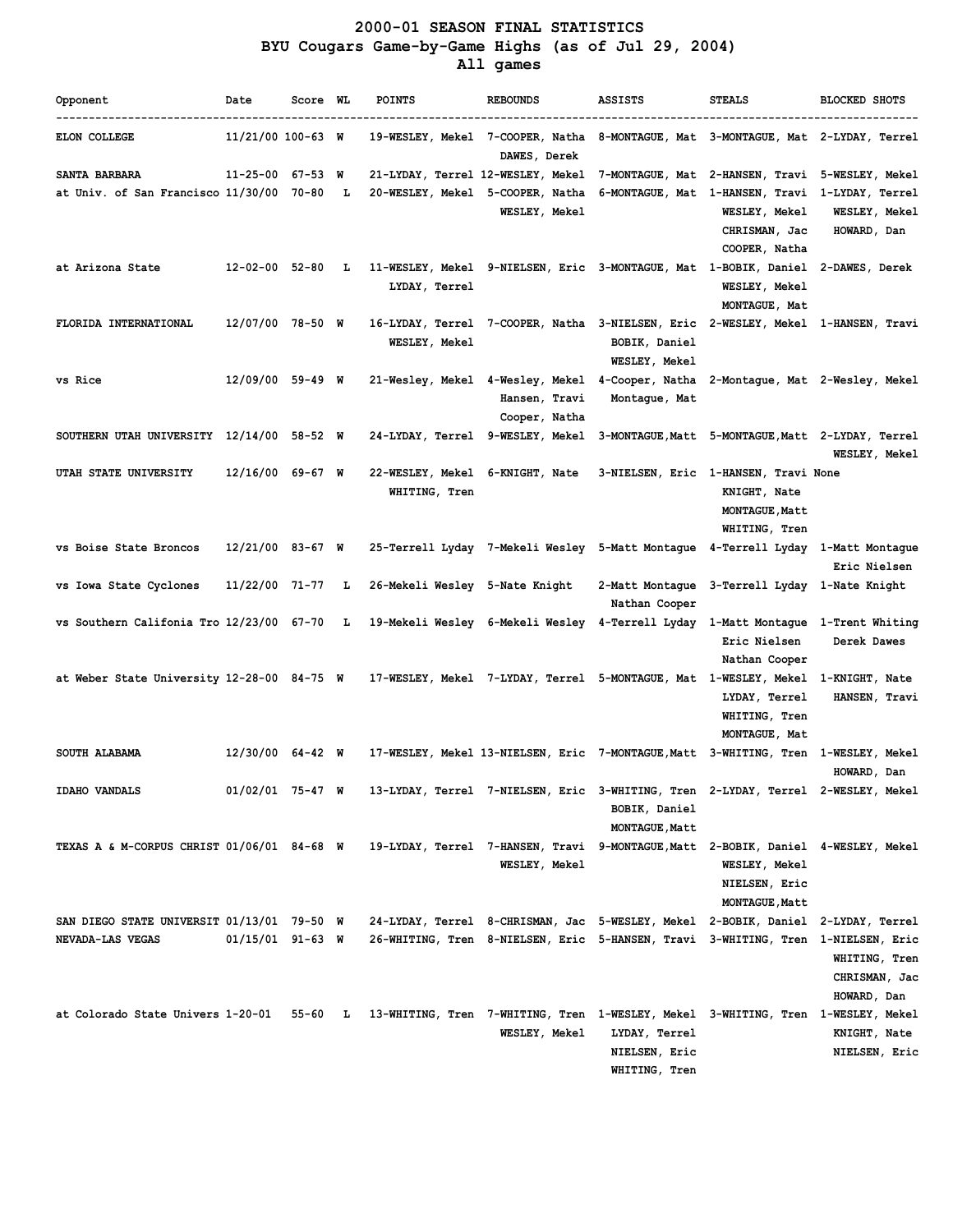# **2000-01 SEASON FINAL STATISTICS BYU Cougars Game-by-Game Highs (as of Jul 29, 2004) All games**

| Opponent                                                       | Date                   | Score WL  |   | <b>POINTS</b>                                                                     | <b>REBOUNDS</b>                                                                                  | <b>ASSISTS</b>                  | <b>STEALS</b>                        | <b>BLOCKED SHOTS</b>             |
|----------------------------------------------------------------|------------------------|-----------|---|-----------------------------------------------------------------------------------|--------------------------------------------------------------------------------------------------|---------------------------------|--------------------------------------|----------------------------------|
| <b>ELON COLLEGE</b>                                            | $11/21/00$ 100-63 W    |           |   |                                                                                   | 19-WESLEY, Mekel 7-COOPER, Natha 8-MONTAGUE, Mat 3-MONTAGUE, Mat 2-LYDAY, Terrel<br>DAWES, Derek |                                 |                                      |                                  |
| SANTA BARBARA                                                  | $11 - 25 - 00$ 67-53 W |           |   | 21-LYDAY, Terrel 12-WESLEY, Mekel                                                 |                                                                                                  | 7-MONTAGUE, Mat 2-HANSEN, Travi |                                      | 5-WESLEY, Mekel                  |
| at Univ. of San Francisco 11/30/00                             |                        | 70-80     | L | 20-WESLEY, Mekel 5-COOPER, Natha                                                  |                                                                                                  | 6-MONTAGUE, Mat 1-HANSEN, Travi |                                      | 1-LYDAY, Terrel                  |
|                                                                |                        |           |   |                                                                                   | <b>WESLEY, Mekel</b>                                                                             |                                 | <b>WESLEY, Mekel</b>                 | <b>WESLEY, Mekel</b>             |
|                                                                |                        |           |   |                                                                                   |                                                                                                  |                                 | CHRISMAN, Jac                        | HOWARD, Dan                      |
|                                                                |                        |           |   |                                                                                   |                                                                                                  |                                 | COOPER, Natha                        |                                  |
| at Arizona State                                               | $12 - 02 - 00$ 52-80   |           | L |                                                                                   | 11-WESLEY, Mekel 9-NIELSEN, Eric 3-MONTAGUE, Mat 1-BOBIK, Daniel                                 |                                 |                                      | 2-DAWES, Derek                   |
|                                                                |                        |           |   | LYDAY, Terrel                                                                     |                                                                                                  |                                 | WESLEY, Mekel                        |                                  |
|                                                                |                        |           |   |                                                                                   |                                                                                                  |                                 | MONTAGUE, Mat                        |                                  |
| FLORIDA INTERNATIONAL                                          | 12/07/00 78-50 W       |           |   |                                                                                   | 16-LYDAY, Terrel 7-COOPER, Natha 3-NIELSEN, Eric 2-WESLEY, Mekel 1-HANSEN, Travi                 |                                 |                                      |                                  |
|                                                                |                        |           |   | <b>WESLEY, Mekel</b>                                                              |                                                                                                  | BOBIK, Daniel                   |                                      |                                  |
|                                                                |                        |           |   |                                                                                   |                                                                                                  | <b>WESLEY, Mekel</b>            |                                      |                                  |
| vs Rice                                                        | $12/09/00$ 59-49 W     |           |   |                                                                                   | 21-Wesley, Mekel 4-Wesley, Mekel                                                                 | 4-Cooper, Natha                 |                                      | 2-Montague, Mat 2-Wesley, Mekel  |
|                                                                |                        |           |   |                                                                                   | Hansen, Travi                                                                                    | Montague, Mat                   |                                      |                                  |
|                                                                |                        |           |   |                                                                                   | Cooper, Natha                                                                                    |                                 |                                      |                                  |
| SOUTHERN UTAH UNIVERSITY 12/14/00 58-52 W                      |                        |           |   | 24-LYDAY, Terrel 9-WESLEY, Mekel                                                  |                                                                                                  | 3-MONTAGUE, Matt                |                                      | 5-MONTAGUE, Matt 2-LYDAY, Terrel |
|                                                                |                        |           |   |                                                                                   |                                                                                                  |                                 |                                      | <b>WESLEY, Mekel</b>             |
| <b>UTAH STATE UNIVERSITY</b>                                   | $12/16/00$ 69-67 W     |           |   | 22-WESLEY, Mekel 6-KNIGHT, Nate                                                   |                                                                                                  |                                 | 3-NIELSEN, Eric 1-HANSEN, Travi None |                                  |
|                                                                |                        |           |   | WHITING, Tren                                                                     |                                                                                                  |                                 | KNIGHT, Nate                         |                                  |
|                                                                |                        |           |   |                                                                                   |                                                                                                  |                                 | <b>MONTAGUE, Matt</b>                |                                  |
|                                                                |                        |           |   |                                                                                   |                                                                                                  |                                 | WHITING, Tren                        |                                  |
| vs Boise State Broncos                                         | $12/21/00$ 83-67 W     |           |   |                                                                                   | 25-Terrell Lyday  7-Mekeli Wesley  5-Matt Montaque  4-Terrell Lyday                              |                                 |                                      | 1-Matt Montague                  |
|                                                                |                        |           |   |                                                                                   |                                                                                                  |                                 |                                      | Eric Nielsen                     |
| vs Iowa State Cyclones                                         | 11/22/00 71-77         |           | L | 26-Mekeli Wesley 5-Nate Knight                                                    |                                                                                                  | 2-Matt Montague                 | 3-Terrell Lyday 1-Nate Knight        |                                  |
|                                                                |                        |           |   |                                                                                   |                                                                                                  | Nathan Cooper                   |                                      |                                  |
| vs Southern Califonia Tro 12/23/00 67-70                       |                        |           | L |                                                                                   | 19-Mekeli Wesley 6-Mekeli Wesley 4-Terrell Lyday                                                 |                                 | 1-Matt Montague                      | 1-Trent Whiting                  |
|                                                                |                        |           |   |                                                                                   |                                                                                                  |                                 | Eric Nielsen                         | Derek Dawes                      |
|                                                                |                        |           |   |                                                                                   |                                                                                                  |                                 | Nathan Cooper                        |                                  |
| at Weber State University 12-28-00 84-75 W                     |                        |           |   | 17-WESLEY, Mekel 7-LYDAY, Terrel 5-MONTAGUE, Mat 1-WESLEY, Mekel                  |                                                                                                  |                                 |                                      | 1-KNIGHT, Nate                   |
|                                                                |                        |           |   |                                                                                   |                                                                                                  |                                 | LYDAY, Terrel                        | HANSEN, Travi                    |
|                                                                |                        |           |   |                                                                                   |                                                                                                  |                                 | WHITING, Tren                        |                                  |
|                                                                |                        |           |   |                                                                                   |                                                                                                  |                                 | MONTAGUE, Mat                        |                                  |
| SOUTH ALABAMA                                                  | $12/30/00$ 64-42 W     |           |   |                                                                                   | 17-WESLEY, Mekel 13-NIELSEN, Eric 7-MONTAGUE, Matt 3-WHITING, Tren                               |                                 |                                      | <b>1-WESLEY, Mekel</b>           |
|                                                                |                        |           |   |                                                                                   |                                                                                                  |                                 |                                      | HOWARD, Dan                      |
| IDAHO VANDALS                                                  | 01/02/01               | 75-47 W   |   | 13-LYDAY, Terrel 7-NIELSEN, Eric 3-WHITING, Tren 2-LYDAY, Terrel 2-WESLEY, Mekel  |                                                                                                  |                                 |                                      |                                  |
|                                                                |                        |           |   |                                                                                   |                                                                                                  | BOBIK, Daniel                   |                                      |                                  |
|                                                                |                        |           |   |                                                                                   |                                                                                                  | <b>MONTAGUE, Matt</b>           |                                      |                                  |
| TEXAS A & M-CORPUS CHRIST 01/06/01 84-68 W                     |                        |           |   | 19-LYDAY, Terrel 7-HANSEN, Travi 9-MONTAGUE, Matt 2-BOBIK, Daniel 4-WESLEY, Mekel |                                                                                                  |                                 |                                      |                                  |
|                                                                |                        |           |   |                                                                                   | <b>WESLEY, Mekel</b>                                                                             |                                 | <b>WESLEY, Mekel</b>                 |                                  |
|                                                                |                        |           |   |                                                                                   |                                                                                                  |                                 |                                      |                                  |
|                                                                |                        |           |   |                                                                                   |                                                                                                  |                                 | NIELSEN, Eric                        |                                  |
|                                                                |                        |           |   |                                                                                   |                                                                                                  |                                 | <b>MONTAGUE, Matt</b>                |                                  |
| SAN DIEGO STATE UNIVERSIT 01/13/01 79-50 W<br>NEVADA-LAS VEGAS |                        |           |   | 24-LYDAY, Terrel 8-CHRISMAN, Jac 5-WESLEY, Mekel 2-BOBIK, Daniel                  |                                                                                                  |                                 |                                      | 2-LYDAY, Terrel                  |
|                                                                | $01/15/01$ 91-63 W     |           |   |                                                                                   | 26-WHITING, Tren 8-NIELSEN, Eric 5-HANSEN, Travi 3-WHITING, Tren 1-NIELSEN, Eric                 |                                 |                                      |                                  |
|                                                                |                        |           |   |                                                                                   |                                                                                                  |                                 |                                      | WHITING, Tren                    |
|                                                                |                        |           |   |                                                                                   |                                                                                                  |                                 |                                      | CHRISMAN, Jac                    |
|                                                                |                        |           |   |                                                                                   |                                                                                                  |                                 |                                      | HOWARD, Dan                      |
| at Colorado State Univers 1-20-01                              |                        | $55-60$ L |   | 13-WHITING, Tren 7-WHITING, Tren 1-WESLEY, Mekel 3-WHITING, Tren 1-WESLEY, Mekel  |                                                                                                  |                                 |                                      |                                  |
|                                                                |                        |           |   |                                                                                   | <b>WESLEY, Mekel</b>                                                                             | LYDAY, Terrel                   |                                      | KNIGHT, Nate                     |
|                                                                |                        |           |   |                                                                                   |                                                                                                  | NIELSEN, Eric                   |                                      | NIELSEN, Eric                    |
|                                                                |                        |           |   |                                                                                   |                                                                                                  | WHITING, Tren                   |                                      |                                  |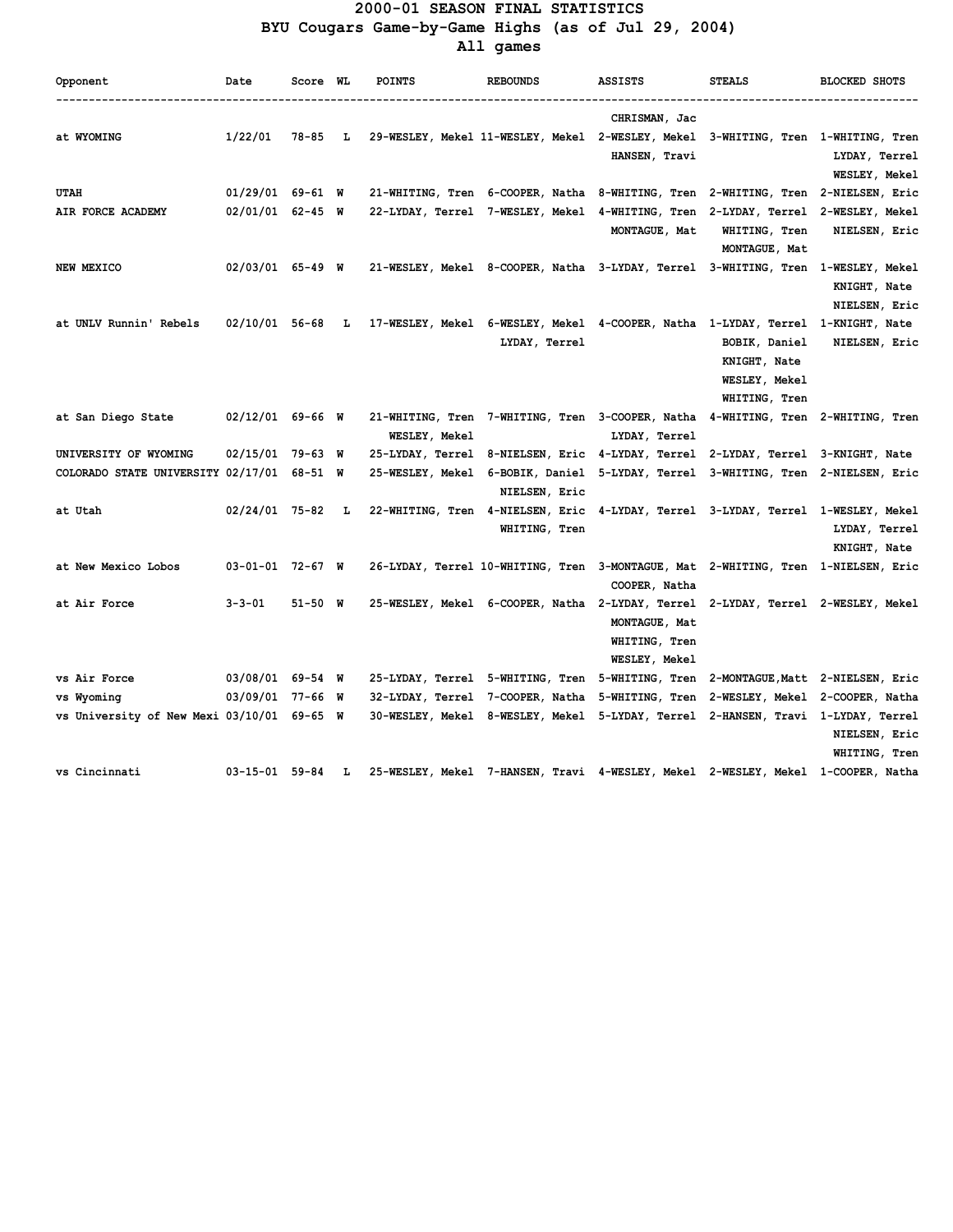### **2000-01 SEASON FINAL STATISTICS BYU Cougars Game-by-Game Highs (as of Jul 29, 2004) All games**

| Opponent                                   | Date                   | Score WL |   | <b>POINTS</b> | <b>REBOUNDS</b>                                                                                  | <b>ASSISTS</b>                                         | <b>STEALS</b>                  | <b>BLOCKED SHOTS</b>                                    |
|--------------------------------------------|------------------------|----------|---|---------------|--------------------------------------------------------------------------------------------------|--------------------------------------------------------|--------------------------------|---------------------------------------------------------|
| at WYOMING                                 | 1/22/01                | 78-85 L  |   |               | 29-WESLEY, Mekel 11-WESLEY, Mekel 2-WESLEY, Mekel 3-WHITING, Tren 1-WHITING, Tren                | CHRISMAN, Jac<br>HANSEN, Travi                         |                                | LYDAY, Terrel                                           |
|                                            |                        |          |   |               |                                                                                                  |                                                        |                                | WESLEY, Mekel                                           |
| UTAH                                       | $01/29/01$ 69-61 W     |          |   |               | 21-WHITING, Tren 6-COOPER, Natha 8-WHITING, Tren 2-WHITING, Tren 2-NIELSEN, Eric                 |                                                        |                                |                                                         |
| AIR FORCE ACADEMY                          | $02/01/01$ 62-45 W     |          |   |               | 22-LYDAY, Terrel 7-WESLEY, Mekel 4-WHITING, Tren 2-LYDAY, Terrel 2-WESLEY, Mekel                 | MONTAGUE, Mat                                          | WHITING, Tren<br>MONTAGUE, Mat | NIELSEN, Eric                                           |
| NEW MEXICO                                 | $02/03/01$ 65-49 W     |          |   |               | 21-WESLEY, Mekel 8-COOPER, Natha 3-LYDAY, Terrel 3-WHITING, Tren                                 |                                                        |                                | <b>1-WESLEY, Mekel</b><br>KNIGHT, Nate<br>NIELSEN, Eric |
| at UNLV Runnin' Rebels                     |                        |          |   |               | 02/10/01 56-68 L 17-WESLEY, Mekel 6-WESLEY, Mekel 4-COOPER, Natha 1-LYDAY, Terrel 1-KNIGHT, Nate |                                                        |                                |                                                         |
|                                            |                        |          |   |               | LYDAY, Terrel                                                                                    |                                                        | BOBIK, Daniel                  | NIELSEN, Eric                                           |
|                                            |                        |          |   |               |                                                                                                  |                                                        | KNIGHT, Nate                   |                                                         |
|                                            |                        |          |   |               |                                                                                                  |                                                        | WESLEY, Mekel                  |                                                         |
|                                            |                        |          |   |               |                                                                                                  |                                                        | WHITING, Tren                  |                                                         |
| at San Diego State                         | $02/12/01$ 69-66 W     |          |   |               | 21-WHITING, Tren 7-WHITING, Tren 3-COOPER, Natha 4-WHITING, Tren 2-WHITING, Tren                 |                                                        |                                |                                                         |
|                                            |                        |          |   | WESLEY, Mekel |                                                                                                  | LYDAY, Terrel                                          |                                |                                                         |
| UNIVERSITY OF WYOMING                      | 02/15/01 79-63 W       |          |   |               | 25-LYDAY, Terrel 8-NIELSEN, Eric 4-LYDAY, Terrel 2-LYDAY, Terrel 3-KNIGHT, Nate                  |                                                        |                                |                                                         |
| COLORADO STATE UNIVERSITY 02/17/01 68-51 W |                        |          |   |               | 25-WESLEY, Mekel 6-BOBIK, Daniel 5-LYDAY, Terrel 3-WHITING, Tren 2-NIELSEN, Eric                 |                                                        |                                |                                                         |
|                                            |                        |          |   |               | NIELSEN, Eric                                                                                    |                                                        |                                |                                                         |
| at Utah                                    | $02/24/01$ 75-82 L     |          |   |               | 22-WHITING, Tren 4-NIELSEN, Eric 4-LYDAY, Terrel 3-LYDAY, Terrel 1-WESLEY, Mekel                 |                                                        |                                |                                                         |
|                                            |                        |          |   |               | WHITING, Tren                                                                                    |                                                        |                                | LYDAY, Terrel                                           |
|                                            |                        |          |   |               |                                                                                                  |                                                        |                                | KNIGHT, Nate                                            |
| at New Mexico Lobos                        | $03 - 01 - 01$ 72-67 W |          |   |               | 26-LYDAY, Terrel 10-WHITING, Tren 3-MONTAGUE, Mat 2-WHITING, Tren 1-NIELSEN, Eric                | COOPER, Natha                                          |                                |                                                         |
| at Air Force                               | $3 - 3 - 01$           | 51-50 W  |   |               | 25-WESLEY, Mekel 6-COOPER, Natha 2-LYDAY, Terrel 2-LYDAY, Terrel 2-WESLEY, Mekel                 | MONTAGUE, Mat<br>WHITING, Tren<br><b>WESLEY, Mekel</b> |                                |                                                         |
| vs Air Force                               | 03/08/01 69-54 W       |          |   |               | 25-LYDAY, Terrel 5-WHITING, Tren 5-WHITING, Tren 2-MONTAGUE, Matt 2-NIELSEN, Eric                |                                                        |                                |                                                         |
| vs Wyoming                                 | 03/09/01 77-66 W       |          |   |               | 32-LYDAY, Terrel 7-COOPER, Natha 5-WHITING, Tren 2-WESLEY, Mekel 2-COOPER, Natha                 |                                                        |                                |                                                         |
| vs University of New Mexi 03/10/01 69-65 W |                        |          |   |               | 30-WESLEY, Mekel 8-WESLEY, Mekel 5-LYDAY, Terrel 2-HANSEN, Travi 1-LYDAY, Terrel                 |                                                        |                                |                                                         |
|                                            |                        |          |   |               |                                                                                                  |                                                        |                                | NIELSEN, Eric                                           |
|                                            |                        |          |   |               |                                                                                                  |                                                        |                                | WHITING, Tren                                           |
| vs Cincinnati                              | 03-15-01 59-84         |          | L |               | 25-WESLEY, Mekel 7-HANSEN, Travi 4-WESLEY, Mekel 2-WESLEY, Mekel 1-COOPER, Natha                 |                                                        |                                |                                                         |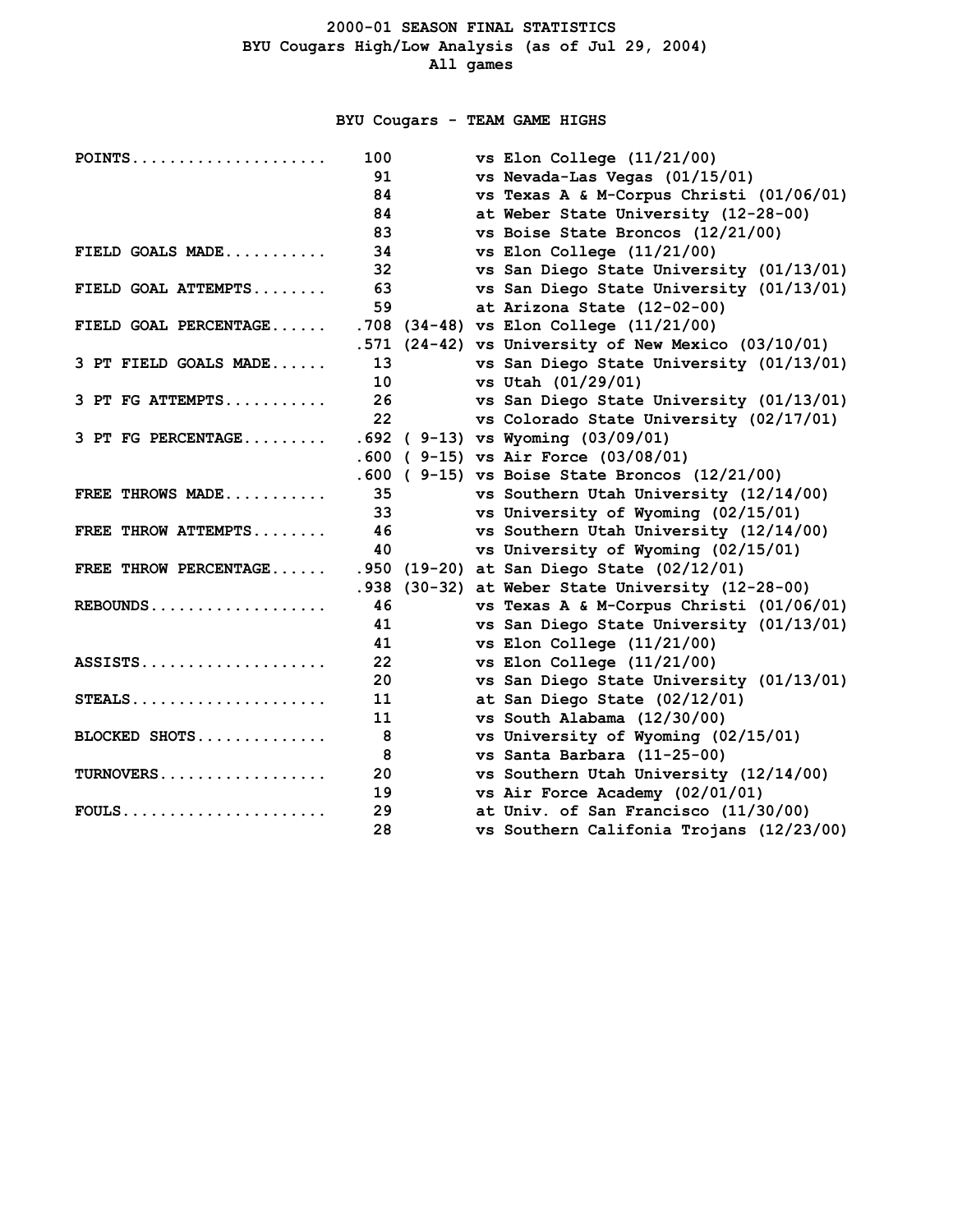# **BYU Cougars - TEAM GAME HIGHS**

| $POINTS$              | 100             | vs Elon College $(11/21/00)$                        |
|-----------------------|-----------------|-----------------------------------------------------|
|                       | 91              | vs Nevada-Las Vegas (01/15/01)                      |
|                       | 84              | vs Texas A & M-Corpus Christi (01/06/01)            |
|                       | 84              | at Weber State University (12-28-00)                |
|                       | 83              | vs Boise State Broncos (12/21/00)                   |
| FIELD GOALS MADE      | 34              | vs Elon College $(11/21/00)$                        |
|                       | 32              | vs San Diego State University (01/13/01)            |
| FIELD GOAL ATTEMPTS   | 63              | vs San Diego State University (01/13/01)            |
|                       | 59              | at Arizona State (12-02-00)                         |
| FIELD GOAL PERCENTAGE |                 | .708 (34-48) vs Elon College (11/21/00)             |
|                       |                 | .571 (24-42) vs University of New Mexico (03/10/01) |
| 3 PT FIELD GOALS MADE | 13              | vs San Diego State University (01/13/01)            |
|                       | 10              | vs Utah (01/29/01)                                  |
| 3 PT FG ATTEMPTS      | 26              | vs San Diego State University (01/13/01)            |
|                       | 22              | vs Colorado State University (02/17/01)             |
| 3 PT FG PERCENTAGE    |                 | $.692$ (9-13) vs Wyoming (03/09/01)                 |
|                       |                 | .600 ( 9-15) vs Air Force (03/08/01)                |
|                       |                 | .600 ( 9-15) vs Boise State Broncos (12/21/00)      |
| FREE THROWS MADE      | 35              | vs Southern Utah University (12/14/00)              |
|                       | 33              | vs University of Wyoming (02/15/01)                 |
| FREE THROW ATTEMPTS   | 46              | vs Southern Utah University (12/14/00)              |
|                       | 40              | vs University of Wyoming (02/15/01)                 |
| FREE THROW PERCENTAGE |                 | .950 (19-20) at San Diego State (02/12/01)          |
|                       |                 | .938 (30-32) at Weber State University (12-28-00)   |
| $REBOUNDS$            | 46              | vs Texas A & M-Corpus Christi (01/06/01)            |
|                       | 41              | vs San Diego State University (01/13/01)            |
|                       | 41              | vs Elon College $(11/21/00)$                        |
| $ASSISTS.$            | 22 <sub>2</sub> | vs Elon College $(11/21/00)$                        |
|                       | 20              | vs San Diego State University (01/13/01)            |
| $STEALS$              | 11              | at San Diego State (02/12/01)                       |
|                       | 11              | vs South Alabama (12/30/00)                         |
| BLOCKED SHOTS         | 8               | vs University of Wyoming (02/15/01)                 |
|                       | 8               | vs Santa Barbara (11-25-00)                         |
| TURNOVERS             | 20              | vs Southern Utah University (12/14/00)              |
|                       | 19              | vs Air Force Academy (02/01/01)                     |
| $FOULS$               | 29              | at Univ. of San Francisco (11/30/00)                |
|                       | 28              | vs Southern Califonia Trojans (12/23/00)            |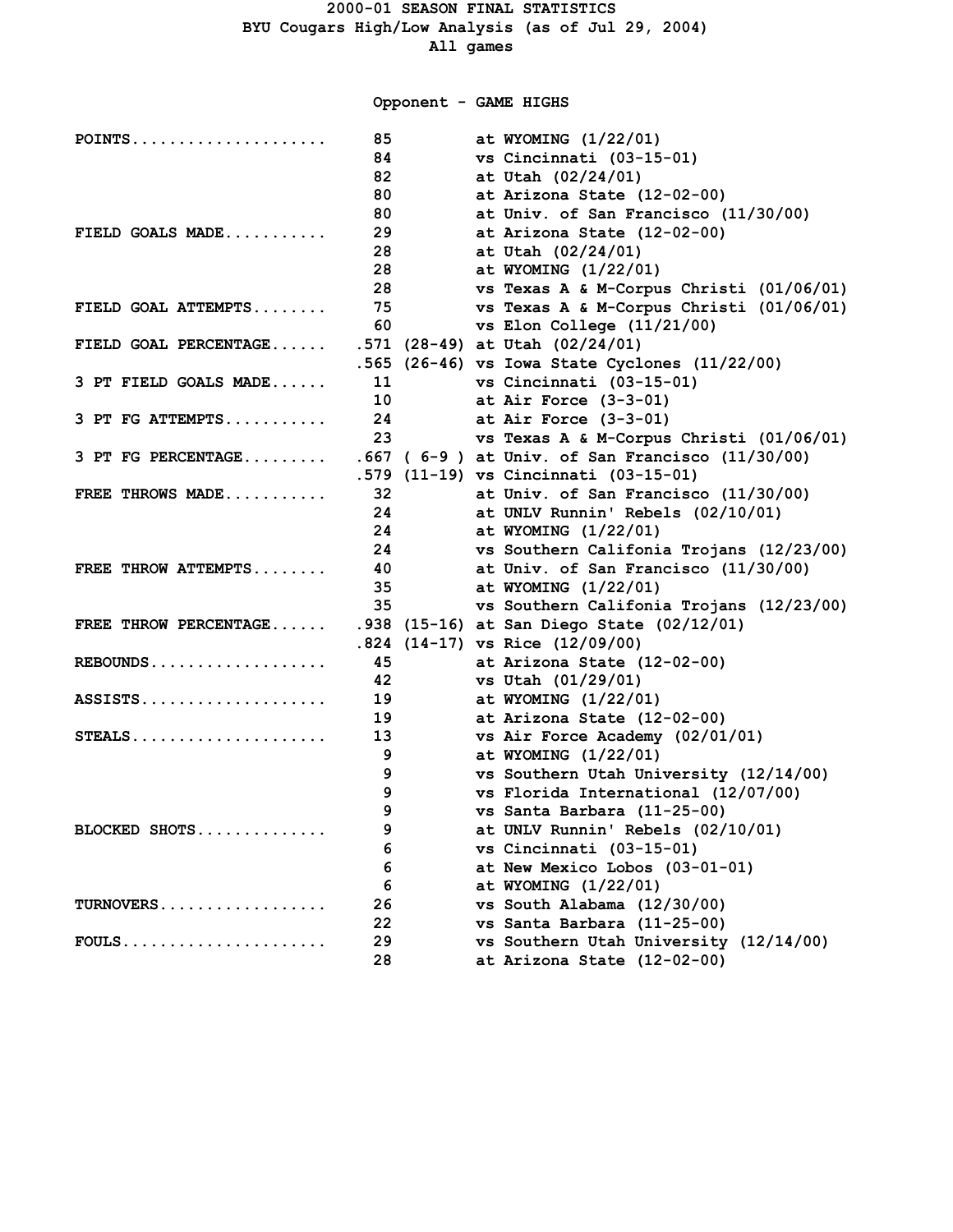**Opponent - GAME HIGHS**

| POINTS                | 85                    | at WYOMING (1/22/01)                              |
|-----------------------|-----------------------|---------------------------------------------------|
|                       | 84                    | vs Cincinnati (03-15-01)                          |
|                       | 82                    | at Utah (02/24/01)                                |
|                       | 80                    | at Arizona State (12-02-00)                       |
|                       | 80                    | at Univ. of San Francisco (11/30/00)              |
| FIELD GOALS MADE      | 29                    | at Arizona State (12-02-00)                       |
|                       | 28                    | at Utah (02/24/01)                                |
|                       | 28                    | at WYOMING (1/22/01)                              |
|                       | 28                    | vs Texas A & M-Corpus Christi (01/06/01)          |
| FIELD GOAL ATTEMPTS   | 75                    | vs Texas A & M-Corpus Christi (01/06/01)          |
|                       | 60                    | vs Elon College (11/21/00)                        |
| FIELD GOAL PERCENTAGE |                       | .571 (28-49) at Utah (02/24/01)                   |
|                       |                       | .565 (26-46) vs Iowa State Cyclones (11/22/00)    |
| 3 PT FIELD GOALS MADE | 11                    | vs Cincinnati (03-15-01)                          |
|                       |                       | 10 at Air Force (3-3-01)                          |
| 3 PT FG ATTEMPTS      |                       | 24 at Air Force (3-3-01)                          |
|                       | 23                    | vs Texas A & M-Corpus Christi (01/06/01)          |
| 3 PT FG PERCENTAGE    |                       | $.667$ (6-9) at Univ. of San Francisco (11/30/00) |
|                       |                       | .579 (11-19) vs Cincinnati (03-15-01)             |
| FREE THROWS MADE      | 32                    | at Univ. of San Francisco (11/30/00)              |
|                       |                       | 24 at UNLV Runnin' Rebels (02/10/01)              |
|                       |                       | 24 at WYOMING (1/22/01)                           |
|                       | 24 and $\overline{a}$ | vs Southern Califonia Trojans (12/23/00)          |
| FREE THROW ATTEMPTS   |                       | 40 at Univ. of San Francisco (11/30/00)           |
|                       |                       | 35 at WYOMING (1/22/01)                           |
|                       | 35                    | vs Southern Califonia Trojans (12/23/00)          |
| FREE THROW PERCENTAGE |                       | .938 (15-16) at San Diego State (02/12/01)        |
|                       |                       | $.824$ (14-17) vs Rice (12/09/00)                 |
| REBOUNDS              | 45                    | at Arizona State (12-02-00)                       |
|                       | 42                    | vs Utah (01/29/01)                                |
| ASSISTS               | 19                    | at WYOMING (1/22/01)                              |
|                       |                       | at Arizona State (12-02-00)                       |
| $STEALS$              | 13                    | vs Air Force Academy (02/01/01)                   |
|                       | 9                     | at WYOMING (1/22/01)                              |
|                       | 9                     | vs Southern Utah University (12/14/00)            |
|                       | 9                     | vs Florida International (12/07/00)               |
|                       | 9                     | vs Santa Barbara (11-25-00)                       |
| BLOCKED SHOTS         | 9                     | at UNLV Runnin' Rebels (02/10/01)                 |
|                       | 6                     | vs Cincinnati (03-15-01)                          |
|                       | 6                     | at New Mexico Lobos (03-01-01)                    |
|                       | 6                     | at WYOMING (1/22/01)                              |
| TURNOVERS             | 26                    | vs South Alabama (12/30/00)                       |
|                       | 22                    | vs Santa Barbara (11-25-00)                       |
| $FOULS$               | 29                    | vs Southern Utah University (12/14/00)            |
|                       | 28                    | at Arizona State (12-02-00)                       |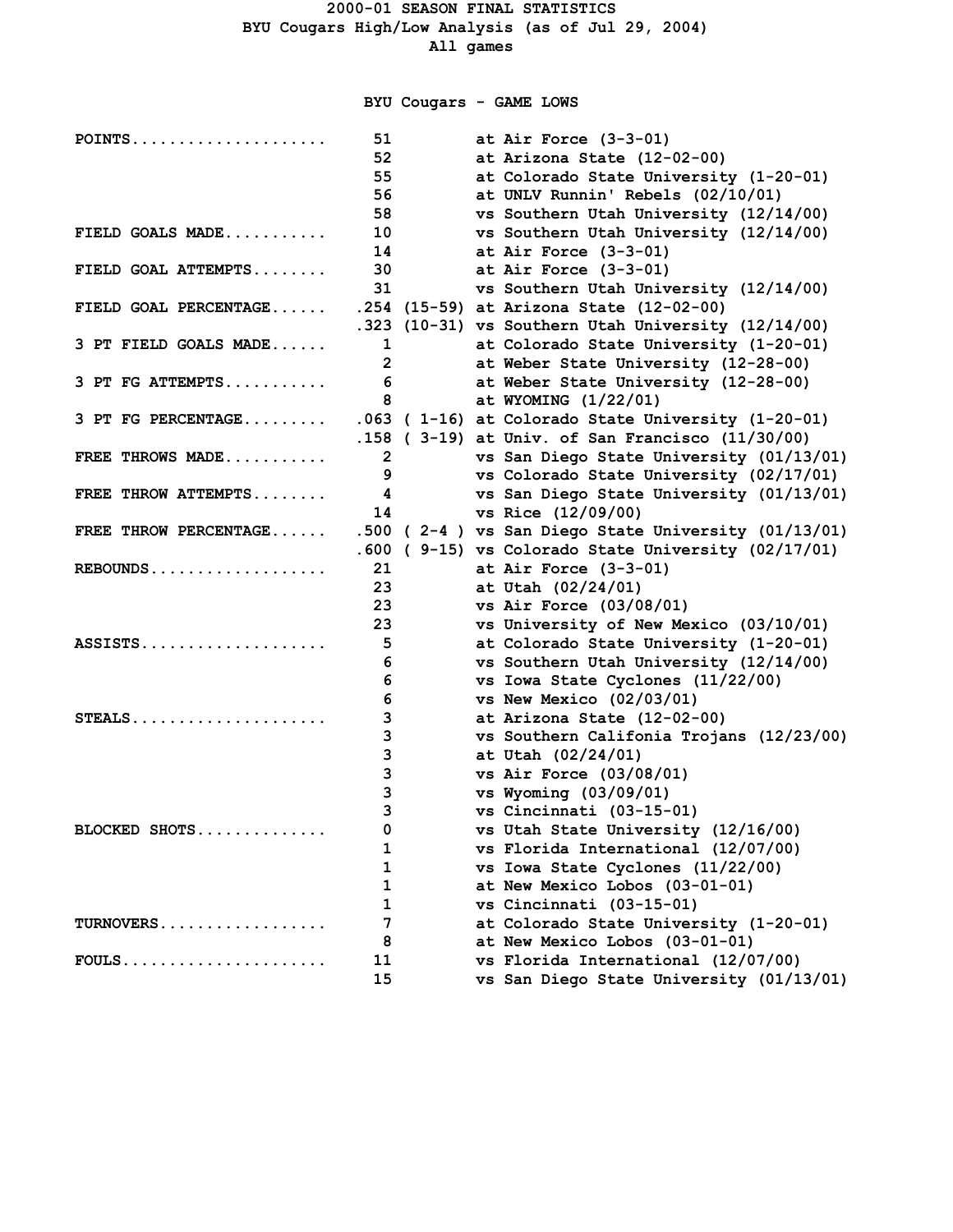**BYU Cougars - GAME LOWS**

| POINTS                | 51              | at Air Force $(3-3-01)$                                |
|-----------------------|-----------------|--------------------------------------------------------|
|                       | 52              | at Arizona State (12-02-00)                            |
|                       | 55              | at Colorado State University (1-20-01)                 |
|                       | 56              | at UNLV Runnin' Rebels (02/10/01)                      |
|                       | 58              | vs Southern Utah University (12/14/00)                 |
| FIELD GOALS MADE      | 10              | vs Southern Utah University (12/14/00)                 |
|                       | 14              | at Air Force $(3-3-01)$                                |
| FIELD GOAL ATTEMPTS   | 30              | at Air Force $(3-3-01)$                                |
|                       | 31              | vs Southern Utah University (12/14/00)                 |
| FIELD GOAL PERCENTAGE |                 | .254 (15-59) at Arizona State (12-02-00)               |
|                       |                 | .323 (10-31) vs Southern Utah University (12/14/00)    |
| 3 PT FIELD GOALS MADE | 1               | at Colorado State University (1-20-01)                 |
|                       | $\mathbf{2}$    | at Weber State University (12-28-00)                   |
| 3 PT FG ATTEMPTS      | $6\overline{6}$ | at Weber State University (12-28-00)                   |
|                       | 8               | at WYOMING (1/22/01)                                   |
| 3 PT FG PERCENTAGE    |                 | .063 (1-16) at Colorado State University (1-20-01)     |
|                       |                 | .158 ( $3-19$ ) at Univ. of San Francisco $(11/30/00)$ |
| FREE THROWS MADE      | $\overline{2}$  | vs San Diego State University (01/13/01)               |
|                       | 9               | vs Colorado State University (02/17/01)                |
| FREE THROW ATTEMPTS   | 4               | vs San Diego State University (01/13/01)               |
|                       | 14              | vs Rice (12/09/00)                                     |
| FREE THROW PERCENTAGE |                 | .500 (2-4) vs San Diego State University (01/13/01)    |
|                       | .600            | (9-15) vs Colorado State University (02/17/01)         |
| $REBOUNDS$            | 21              | at Air Force $(3-3-01)$                                |
|                       | 23              | at Utah (02/24/01)                                     |
|                       | 23              | vs Air Force (03/08/01)                                |
|                       | 23              | vs University of New Mexico (03/10/01)                 |
| ASSISTS               | 5               | at Colorado State University (1-20-01)                 |
|                       | 6               | vs Southern Utah University (12/14/00)                 |
|                       | 6               | vs Iowa State Cyclones (11/22/00)                      |
|                       | 6               | vs New Mexico $(02/03/01)$                             |
| STEALS                | 3               | at Arizona State (12-02-00)                            |
|                       | 3               | vs Southern Califonia Trojans (12/23/00)               |
|                       | 3               | at Utah (02/24/01)                                     |
|                       | 3               | vs Air Force $(03/08/01)$                              |
|                       | 3               | vs Wyoming (03/09/01)                                  |
|                       | 3               | vs Cincinnati (03-15-01)                               |
| BLOCKED SHOTS         | 0               | vs Utah State University (12/16/00)                    |
|                       | 1               | vs Florida International (12/07/00)                    |
|                       | 1               | vs Iowa State Cyclones (11/22/00)                      |
|                       | 1               | at New Mexico Lobos (03-01-01)                         |
|                       | 1               | vs Cincinnati (03-15-01)                               |
| TURNOVERS             | 7               | at Colorado State University (1-20-01)                 |
|                       | 8               | at New Mexico Lobos (03-01-01)                         |
| $FOULS$               | 11              | vs Florida International (12/07/00)                    |
|                       | 15              | vs San Diego State University (01/13/01)               |
|                       |                 |                                                        |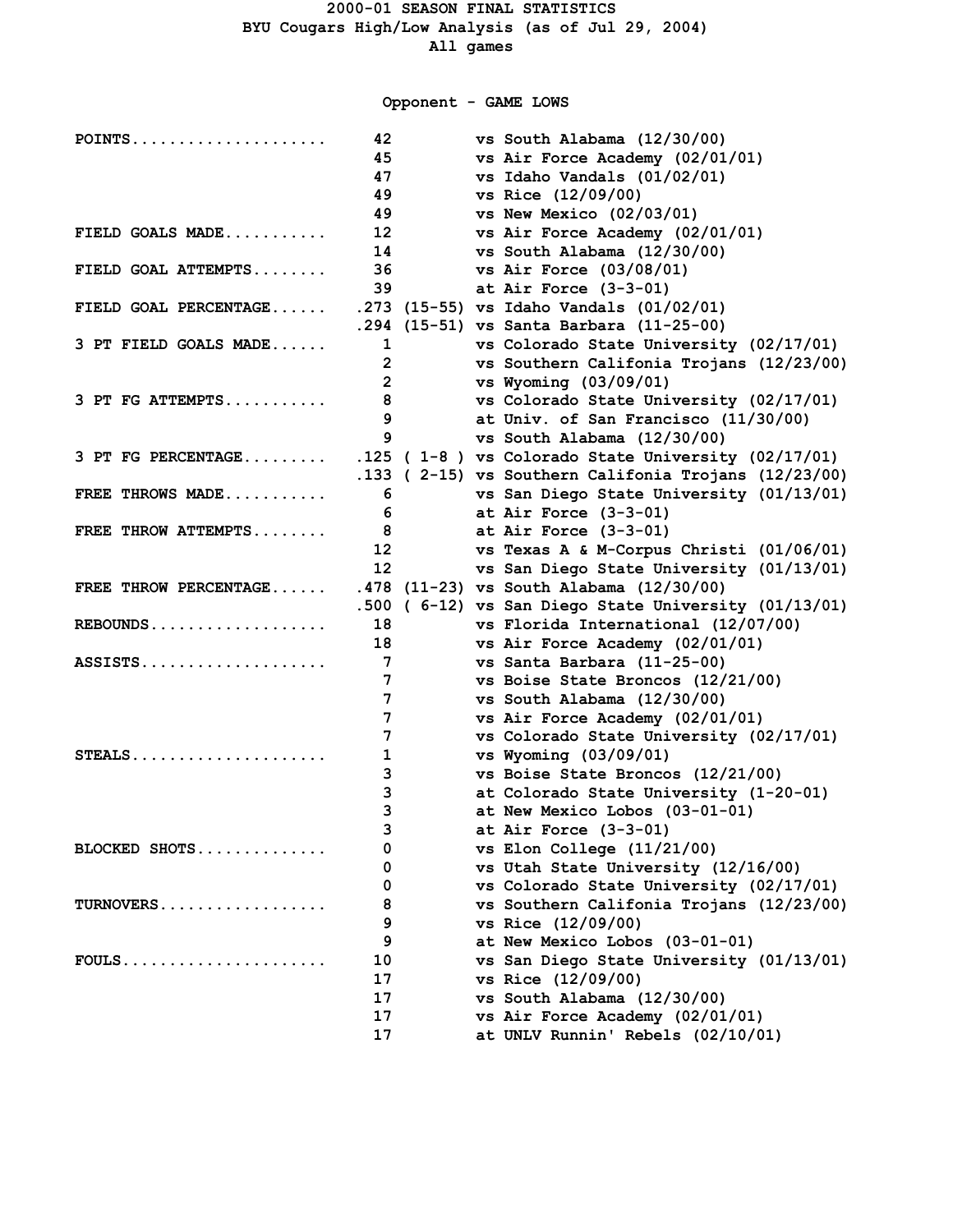**Opponent - GAME LOWS**

| POINTS                | 42              | vs South Alabama (12/30/00)                           |
|-----------------------|-----------------|-------------------------------------------------------|
|                       | 45              | vs Air Force Academy (02/01/01)                       |
|                       | 47              | vs Idaho Vandals (01/02/01)                           |
|                       | 49              | vs Rice (12/09/00)                                    |
|                       | 49              | vs New Mexico $(02/03/01)$                            |
| FIELD GOALS MADE      | 12 <sup>2</sup> | vs Air Force Academy (02/01/01)                       |
|                       | 14              | vs South Alabama (12/30/00)                           |
| FIELD GOAL ATTEMPTS   | 36              | vs Air Force $(03/08/01)$                             |
|                       | 39              | at Air Force $(3-3-01)$                               |
| FIELD GOAL PERCENTAGE |                 | .273 (15-55) vs Idaho Vandals (01/02/01)              |
|                       |                 | .294 (15-51) vs Santa Barbara (11-25-00)              |
| 3 PT FIELD GOALS MADE | 1               | vs Colorado State University (02/17/01)               |
|                       | $\overline{2}$  | vs Southern Califonia Trojans (12/23/00)              |
|                       | $\overline{2}$  | vs Wyoming (03/09/01)                                 |
| 3 PT FG ATTEMPTS      | 8               | vs Colorado State University (02/17/01)               |
|                       | 9               | at Univ. of San Francisco (11/30/00)                  |
|                       | 9               | vs South Alabama (12/30/00)                           |
| 3 PT FG PERCENTAGE    |                 | $.125$ (1-8) vs Colorado State University (02/17/01)  |
|                       |                 | .133 (2-15) vs Southern Califonia Trojans (12/23/00)  |
| FREE THROWS MADE      | 6               | vs San Diego State University (01/13/01)              |
|                       | 6               | at Air Force $(3-3-01)$                               |
| FREE THROW ATTEMPTS   |                 | at Air Force $(3-3-01)$                               |
|                       | 12 <sup>7</sup> | vs Texas A & M-Corpus Christi $(01/06/01)$            |
|                       | 12              | vs San Diego State University (01/13/01)              |
| FREE THROW PERCENTAGE |                 | .478 (11-23) vs South Alabama (12/30/00)              |
|                       |                 | .500 ( 6-12) vs San Diego State University (01/13/01) |
| $REBOUNDS$            | 18              | vs Florida International (12/07/00)                   |
|                       | 18              | vs Air Force Academy (02/01/01)                       |
| ASSISTS               | 7               | vs Santa Barbara (11-25-00)                           |
|                       | 7               | vs Boise State Broncos (12/21/00)                     |
|                       | 7               | vs South Alabama (12/30/00)                           |
|                       | 7               | vs Air Force Academy (02/01/01)                       |
|                       | 7               | vs Colorado State University (02/17/01)               |
| $STEALS$              | 1               | vs Wyoming (03/09/01)                                 |
|                       | 3               | vs Boise State Broncos (12/21/00)                     |
|                       | 3               | at Colorado State University (1-20-01)                |
|                       | 3               | at New Mexico Lobos (03-01-01)                        |
|                       | 3               | at Air Force $(3-3-01)$                               |
| BLOCKED SHOTS         | 0               | vs Elon College $(11/21/00)$                          |
|                       | 0               | vs Utah State University (12/16/00)                   |
|                       | 0               | vs Colorado State University (02/17/01)               |
| TURNOVERS             | 8               | vs Southern Califonia Trojans (12/23/00)              |
|                       | 9               | vs Rice (12/09/00)                                    |
|                       | 9               | at New Mexico Lobos (03-01-01)                        |
| $FOULS$               | 10              | vs San Diego State University (01/13/01)              |
|                       | 17              | vs Rice (12/09/00)                                    |
|                       | 17              | vs South Alabama (12/30/00)                           |
|                       | 17              | vs Air Force Academy (02/01/01)                       |
|                       | 17              | at UNLV Runnin' Rebels (02/10/01)                     |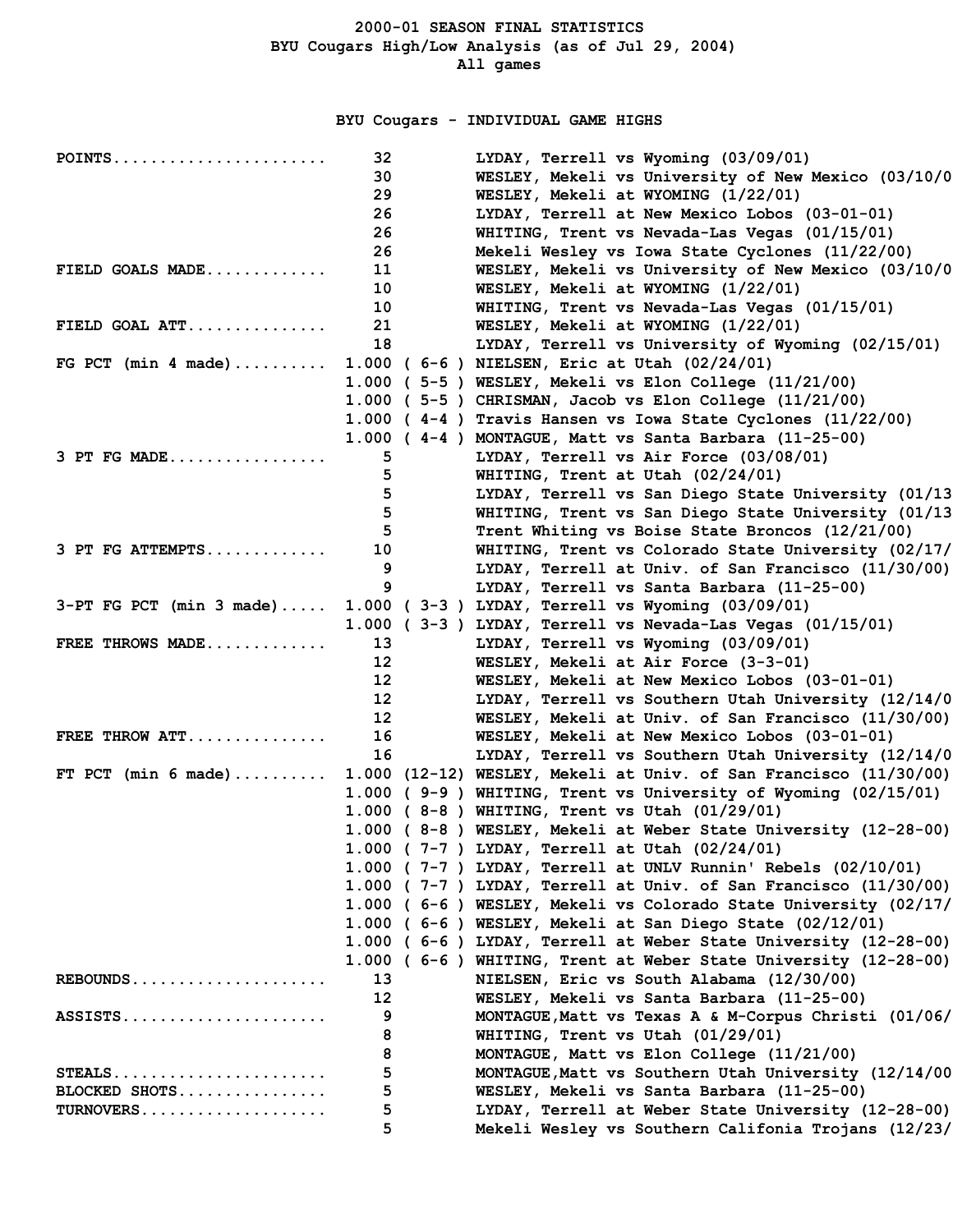**BYU Cougars - INDIVIDUAL GAME HIGHS**

| $POINTS$                                            | 32                | LYDAY, Terrell vs Wyoming (03/09/01)                              |
|-----------------------------------------------------|-------------------|-------------------------------------------------------------------|
|                                                     | 30                | WESLEY, Mekeli vs University of New Mexico (03/10/0               |
|                                                     | 29                | WESLEY, Mekeli at WYOMING (1/22/01)                               |
|                                                     | 26                | LYDAY, Terrell at New Mexico Lobos (03-01-01)                     |
|                                                     | 26                | WHITING, Trent vs Nevada-Las Vegas (01/15/01)                     |
|                                                     | 26                | Mekeli Wesley vs Iowa State Cyclones (11/22/00)                   |
| FIELD GOALS $MADE$                                  | 11                | WESLEY, Mekeli vs University of New Mexico (03/10/0               |
|                                                     | 10                | WESLEY, Mekeli at WYOMING (1/22/01)                               |
|                                                     | 10                | WHITING, Trent vs Nevada-Las Vegas (01/15/01)                     |
| FIELD GOAL ATT                                      | 21                | WESLEY, Mekeli at WYOMING (1/22/01)                               |
|                                                     | 18                | LYDAY, Terrell vs University of Wyoming (02/15/01)                |
| FG PCT (min 4 made)                                 |                   | 1.000 ( 6-6 ) NIELSEN, Eric at Utah (02/24/01)                    |
|                                                     |                   | $1.000$ (5-5) WESLEY, Mekeli vs Elon College $(11/21/00)$         |
|                                                     |                   | $1.000$ (5-5) CHRISMAN, Jacob vs Elon College $(11/21/00)$        |
|                                                     |                   | 1.000 (4-4) Travis Hansen vs Iowa State Cyclones (11/22/00)       |
|                                                     |                   | $1.000$ (4-4) MONTAGUE, Matt vs Santa Barbara (11-25-00)          |
| $3$ PT FG MADE                                      | 5                 | LYDAY, Terrell vs Air Force (03/08/01)                            |
|                                                     | 5                 | WHITING, Trent at Utah (02/24/01)                                 |
|                                                     | 5                 | LYDAY, Terrell vs San Diego State University (01/13               |
|                                                     | 5                 | WHITING, Trent vs San Diego State University (01/13               |
|                                                     | 5                 | Trent Whiting vs Boise State Broncos (12/21/00)                   |
| $3$ PT FG ATTEMPTS                                  | 10                | WHITING, Trent vs Colorado State University (02/17/               |
|                                                     | 9                 | LYDAY, Terrell at Univ. of San Francisco (11/30/00)               |
|                                                     | 9                 | LYDAY, Terrell vs Santa Barbara (11-25-00)                        |
| $3-PT$ FG PCT (min 3 made)                          |                   | 1.000 ( $3-3$ ) LYDAY, Terrell vs Wyoming $(03/09/01)$            |
|                                                     |                   | 1.000 ( $3-3$ ) LYDAY, Terrell vs Nevada-Las Vegas (01/15/01)     |
| FREE THROWS MADE                                    | 13                | LYDAY, Terrell vs Wyoming (03/09/01)                              |
|                                                     | $12 \overline{ }$ | WESLEY, Mekeli at Air Force (3-3-01)                              |
|                                                     | $12 \overline{ }$ | WESLEY, Mekeli at New Mexico Lobos (03-01-01)                     |
|                                                     | 12 <sup>2</sup>   | LYDAY, Terrell vs Southern Utah University (12/14/0               |
|                                                     | 12 <sup>2</sup>   | WESLEY, Mekeli at Univ. of San Francisco (11/30/00)               |
| FREE THROW $ATT$                                    | 16                | WESLEY, Mekeli at New Mexico Lobos (03-01-01)                     |
|                                                     | 16                | LYDAY, Terrell vs Southern Utah University (12/14/0               |
| FT PCT (min 6 made)                                 |                   | 1.000 (12-12) WESLEY, Mekeli at Univ. of San Francisco (11/30/00) |
|                                                     |                   | 1.000 (9-9) WHITING, Trent vs University of Wyoming (02/15/01)    |
|                                                     |                   | 1.000 (8-8) WHITING, Trent vs Utah (01/29/01)                     |
|                                                     |                   | 1.000 (8-8) WESLEY, Mekeli at Weber State University (12-28-00)   |
|                                                     |                   | 1.000 ( 7-7 ) LYDAY, Terrell at Utah (02/24/01)                   |
|                                                     |                   | 1.000 (7-7) LYDAY, Terrell at UNLV Runnin' Rebels (02/10/01)      |
|                                                     |                   | 1.000 (7-7) LYDAY, Terrell at Univ. of San Francisco (11/30/00)   |
|                                                     |                   | 1.000 (6-6) WESLEY, Mekeli vs Colorado State University (02/17/   |
|                                                     |                   | 1.000 (6-6) WESLEY, Mekeli at San Diego State (02/12/01)          |
|                                                     |                   | 1.000 (6-6) LYDAY, Terrell at Weber State University (12-28-00)   |
|                                                     |                   | 1.000 (6-6) WHITING, Trent at Weber State University (12-28-00)   |
| REBOUNDS                                            | 13                | NIELSEN, Eric vs South Alabama (12/30/00)                         |
|                                                     | $12 \overline{ }$ | WESLEY, Mekeli vs Santa Barbara (11-25-00)                        |
| $ASSISTS \ldots \ldots \ldots \ldots \ldots \ldots$ | 9                 | MONTAGUE, Matt vs Texas A & M-Corpus Christi (01/06/              |
|                                                     | 8                 | WHITING, Trent vs Utah (01/29/01)                                 |
|                                                     | 8                 | MONTAGUE, Matt vs Elon College (11/21/00)                         |
| $STEALS$                                            | 5                 | MONTAGUE, Matt vs Southern Utah University (12/14/00              |
| BLOCKED SHOTS                                       | 5                 | WESLEY, Mekeli vs Santa Barbara (11-25-00)                        |
| $TURNOVERS$                                         | 5                 | LYDAY, Terrell at Weber State University (12-28-00)               |
|                                                     | 5                 | Mekeli Wesley vs Southern Califonia Trojans (12/23/               |